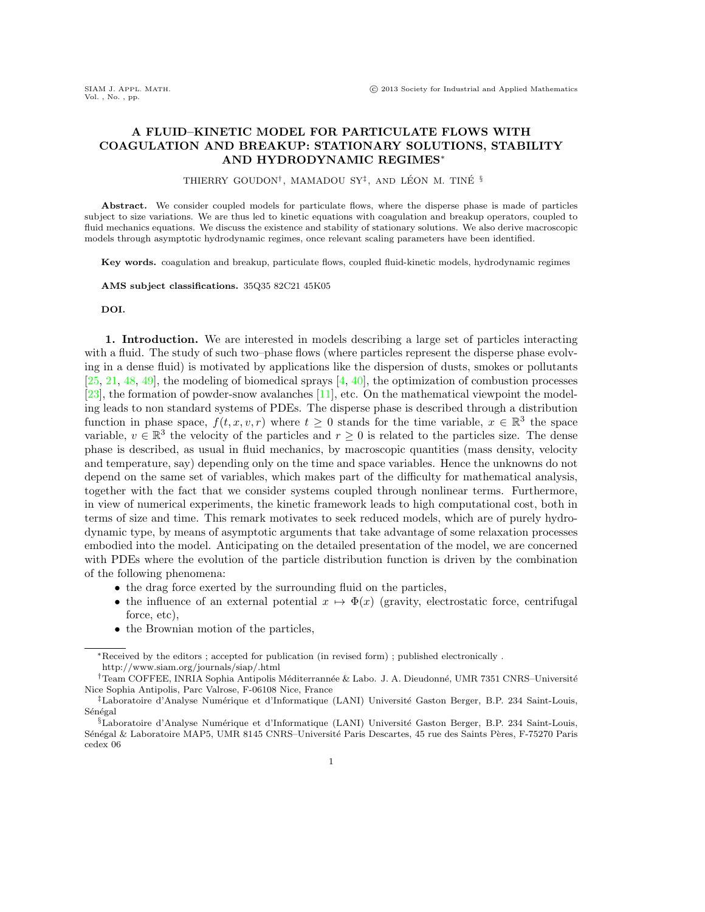## A FLUID–KINETIC MODEL FOR PARTICULATE FLOWS WITH COAGULATION AND BREAKUP: STATIONARY SOLUTIONS, STABILITY AND HYDRODYNAMIC REGIMES<sup>∗</sup>

THIERRY GOUDON<sup>†</sup>, MAMADOU SY<sup>‡</sup>, AND LÉON M. TINÉ <sup>§</sup>

Abstract. We consider coupled models for particulate flows, where the disperse phase is made of particles subject to size variations. We are thus led to kinetic equations with coagulation and breakup operators, coupled to fluid mechanics equations. We discuss the existence and stability of stationary solutions. We also derive macroscopic models through asymptotic hydrodynamic regimes, once relevant scaling parameters have been identified.

Key words. coagulation and breakup, particulate flows, coupled fluid-kinetic models, hydrodynamic regimes

AMS subject classifications. 35Q35 82C21 45K05

DOI.

1. Introduction. We are interested in models describing a large set of particles interacting with a fluid. The study of such two–phase flows (where particles represent the disperse phase evolving in a dense fluid) is motivated by applications like the dispersion of dusts, smokes or pollutants  $[25, 21, 48, 49]$  $[25, 21, 48, 49]$  $[25, 21, 48, 49]$  $[25, 21, 48, 49]$  $[25, 21, 48, 49]$  $[25, 21, 48, 49]$  $[25, 21, 48, 49]$ , the modeling of biomedical sprays  $[4, 40]$  $[4, 40]$ , the optimization of combustion processes [\[23\]](#page-18-3), the formation of powder-snow avalanches [\[11\]](#page-18-4), etc. On the mathematical viewpoint the modeling leads to non standard systems of PDEs. The disperse phase is described through a distribution function in phase space,  $f(t, x, v, r)$  where  $t \geq 0$  stands for the time variable,  $x \in \mathbb{R}^3$  the space variable,  $v \in \mathbb{R}^3$  the velocity of the particles and  $r \geq 0$  is related to the particles size. The dense phase is described, as usual in fluid mechanics, by macroscopic quantities (mass density, velocity and temperature, say) depending only on the time and space variables. Hence the unknowns do not depend on the same set of variables, which makes part of the difficulty for mathematical analysis, together with the fact that we consider systems coupled through nonlinear terms. Furthermore, in view of numerical experiments, the kinetic framework leads to high computational cost, both in terms of size and time. This remark motivates to seek reduced models, which are of purely hydrodynamic type, by means of asymptotic arguments that take advantage of some relaxation processes embodied into the model. Anticipating on the detailed presentation of the model, we are concerned with PDEs where the evolution of the particle distribution function is driven by the combination of the following phenomena:

- the drag force exerted by the surrounding fluid on the particles,
- the influence of an external potential  $x \mapsto \Phi(x)$  (gravity, electrostatic force, centrifugal force, etc),
- the Brownian motion of the particles,

<sup>∗</sup>Received by the editors ; accepted for publication (in revised form) ; published electronically . http://www.siam.org/journals/siap/.html

<sup>&</sup>lt;sup>†</sup>Team COFFEE, INRIA Sophia Antipolis Méditerrannée & Labo. J. A. Dieudonné, UMR 7351 CNRS–Université Nice Sophia Antipolis, Parc Valrose, F-06108 Nice, France

<sup>&</sup>lt;sup>‡</sup>Laboratoire d'Analyse Numérique et d'Informatique (LANI) Université Gaston Berger, B.P. 234 Saint-Louis, Sénégal

 $\S$ Laboratoire d'Analyse Numérique et d'Informatique (LANI) Université Gaston Berger, B.P. 234 Saint-Louis, Sénégal & Laboratoire MAP5, UMR 8145 CNRS–Université Paris Descartes, 45 rue des Saints Pères, F-75270 Paris cedex 06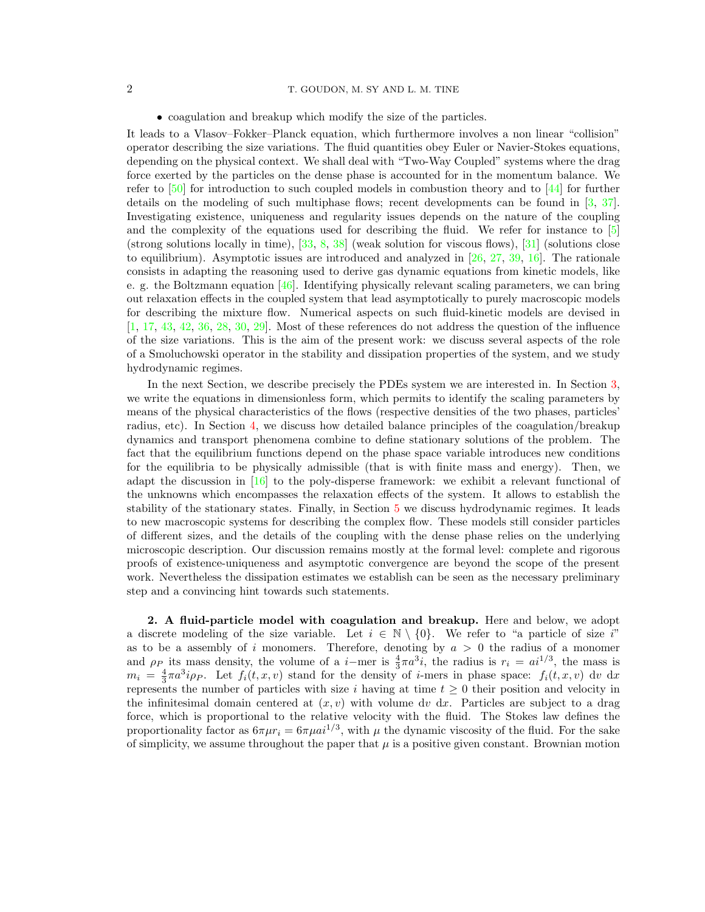## 2 T. GOUDON, M. SY AND L. M. TINE

• coagulation and breakup which modify the size of the particles.

It leads to a Vlasov–Fokker–Planck equation, which furthermore involves a non linear "collision" operator describing the size variations. The fluid quantities obey Euler or Navier-Stokes equations, depending on the physical context. We shall deal with "Two-Way Coupled" systems where the drag force exerted by the particles on the dense phase is accounted for in the momentum balance. We refer to  $\left[50\right]$  for introduction to such coupled models in combustion theory and to  $\left[44\right]$  for further details on the modeling of such multiphase flows; recent developments can be found in [\[3,](#page-18-5) [37\]](#page-19-5). Investigating existence, uniqueness and regularity issues depends on the nature of the coupling and the complexity of the equations used for describing the fluid. We refer for instance to [\[5\]](#page-18-6) (strong solutions locally in time),  $[33, 8, 38]$  $[33, 8, 38]$  $[33, 8, 38]$  $[33, 8, 38]$  (weak solution for viscous flows),  $[31]$  (solutions close to equilibrium). Asymptotic issues are introduced and analyzed in [\[26,](#page-18-8) [27,](#page-18-9) [39,](#page-19-9) [16\]](#page-18-10). The rationale consists in adapting the reasoning used to derive gas dynamic equations from kinetic models, like e. g. the Boltzmann equation [\[46\]](#page-19-10). Identifying physically relevant scaling parameters, we can bring out relaxation effects in the coupled system that lead asymptotically to purely macroscopic models for describing the mixture flow. Numerical aspects on such fluid-kinetic models are devised in  $[1, 17, 43, 42, 36, 28, 30, 29]$  $[1, 17, 43, 42, 36, 28, 30, 29]$  $[1, 17, 43, 42, 36, 28, 30, 29]$  $[1, 17, 43, 42, 36, 28, 30, 29]$  $[1, 17, 43, 42, 36, 28, 30, 29]$  $[1, 17, 43, 42, 36, 28, 30, 29]$  $[1, 17, 43, 42, 36, 28, 30, 29]$  $[1, 17, 43, 42, 36, 28, 30, 29]$  $[1, 17, 43, 42, 36, 28, 30, 29]$  $[1, 17, 43, 42, 36, 28, 30, 29]$  $[1, 17, 43, 42, 36, 28, 30, 29]$  $[1, 17, 43, 42, 36, 28, 30, 29]$  $[1, 17, 43, 42, 36, 28, 30, 29]$  $[1, 17, 43, 42, 36, 28, 30, 29]$  $[1, 17, 43, 42, 36, 28, 30, 29]$ . Most of these references do not address the question of the influence of the size variations. This is the aim of the present work: we discuss several aspects of the role of a Smoluchowski operator in the stability and dissipation properties of the system, and we study hydrodynamic regimes.

In the next Section, we describe precisely the PDEs system we are interested in. In Section [3,](#page-4-0) we write the equations in dimensionless form, which permits to identify the scaling parameters by means of the physical characteristics of the flows (respective densities of the two phases, particles' radius, etc). In Section [4,](#page-5-0) we discuss how detailed balance principles of the coagulation/breakup dynamics and transport phenomena combine to define stationary solutions of the problem. The fact that the equilibrium functions depend on the phase space variable introduces new conditions for the equilibria to be physically admissible (that is with finite mass and energy). Then, we adapt the discussion in [\[16\]](#page-18-10) to the poly-disperse framework: we exhibit a relevant functional of the unknowns which encompasses the relaxation effects of the system. It allows to establish the stability of the stationary states. Finally, in Section [5](#page-12-0) we discuss hydrodynamic regimes. It leads to new macroscopic systems for describing the complex flow. These models still consider particles of different sizes, and the details of the coupling with the dense phase relies on the underlying microscopic description. Our discussion remains mostly at the formal level: complete and rigorous proofs of existence-uniqueness and asymptotic convergence are beyond the scope of the present work. Nevertheless the dissipation estimates we establish can be seen as the necessary preliminary step and a convincing hint towards such statements.

2. A fluid-particle model with coagulation and breakup. Here and below, we adopt a discrete modeling of the size variable. Let  $i \in \mathbb{N} \setminus \{0\}$ . We refer to "a particle of size i" as to be a assembly of i monomers. Therefore, denoting by  $a > 0$  the radius of a monomer and  $\rho_P$  its mass density, the volume of a *i*-mer is  $\frac{4}{3}\pi a^3 i$ , the radius is  $r_i = a^{1/3}$ , the mass is  $m_i = \frac{4}{3}\pi a^3 i \rho_P$ . Let  $f_i(t, x, v)$  stand for the density of *i*-mers in phase space:  $f_i(t, x, v)$  dv dx represents the number of particles with size i having at time  $t \geq 0$  their position and velocity in the infinitesimal domain centered at  $(x, v)$  with volume dv dx. Particles are subject to a drag force, which is proportional to the relative velocity with the fluid. The Stokes law defines the proportionality factor as  $6\pi\mu r_i = 6\pi\mu a^{1/3}$ , with  $\mu$  the dynamic viscosity of the fluid. For the sake of simplicity, we assume throughout the paper that  $\mu$  is a positive given constant. Brownian motion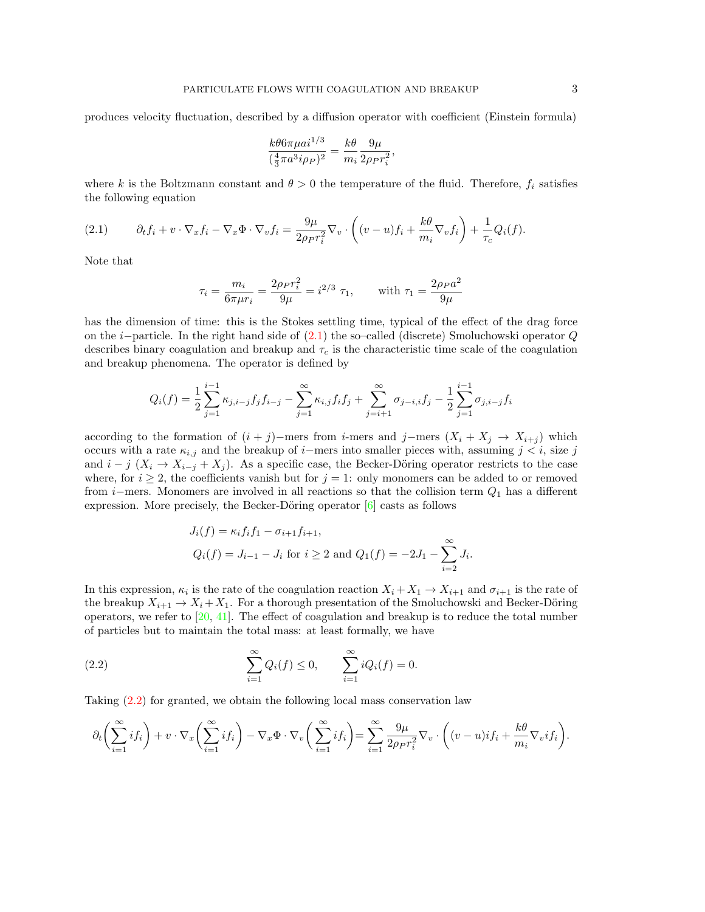produces velocity fluctuation, described by a diffusion operator with coefficient (Einstein formula)

$$
\frac{k\theta 6\pi \mu a i^{1/3}}{(\frac{4}{3}\pi a^3 i \rho_P)^2} = \frac{k\theta}{m_i} \frac{9\mu}{2\rho_P r_i^2},
$$

where k is the Boltzmann constant and  $\theta > 0$  the temperature of the fluid. Therefore,  $f_i$  satisfies the following equation

<span id="page-2-0"></span>(2.1) 
$$
\partial_t f_i + v \cdot \nabla_x f_i - \nabla_x \Phi \cdot \nabla_v f_i = \frac{9\mu}{2\rho_P r_i^2} \nabla_v \cdot \left( (v - u) f_i + \frac{k\theta}{m_i} \nabla_v f_i \right) + \frac{1}{\tau_c} Q_i(f).
$$

Note that

$$
\tau_i = \frac{m_i}{6\pi \mu r_i} = \frac{2\rho_P r_i^2}{9\mu} = i^{2/3} \tau_1, \quad \text{with } \tau_1 = \frac{2\rho_P a^2}{9\mu}
$$

has the dimension of time: this is the Stokes settling time, typical of the effect of the drag force on the i−particle. In the right hand side of [\(2.1\)](#page-2-0) the so–called (discrete) Smoluchowski operator Q describes binary coagulation and breakup and  $\tau_c$  is the characteristic time scale of the coagulation and breakup phenomena. The operator is defined by

$$
Q_i(f) = \frac{1}{2} \sum_{j=1}^{i-1} \kappa_{j,i-j} f_j f_{i-j} - \sum_{j=1}^{\infty} \kappa_{i,j} f_i f_j + \sum_{j=i+1}^{\infty} \sigma_{j-i,j} f_j - \frac{1}{2} \sum_{j=1}^{i-1} \sigma_{j,i-j} f_i
$$

according to the formation of  $(i + j)$ −mers from i-mers and j−mers  $(X_i + X_j \rightarrow X_{i+j})$  which occurs with a rate  $\kappa_{i,j}$  and the breakup of i−mers into smaller pieces with, assuming  $j < i$ , size j and  $i - j$  ( $X_i \rightarrow X_{i-j} + X_j$ ). As a specific case, the Becker-Döring operator restricts to the case where, for  $i \geq 2$ , the coefficients vanish but for  $j = 1$ : only monomers can be added to or removed from i–mers. Monomers are involved in all reactions so that the collision term  $Q_1$  has a different expression. More precisely, the Becker-Döring operator  $[6]$  casts as follows

<span id="page-2-1"></span>
$$
J_i(f) = \kappa_i f_i f_1 - \sigma_{i+1} f_{i+1},
$$
  
  $Q_i(f) = J_{i-1} - J_i$  for  $i \ge 2$  and  $Q_1(f) = -2J_1 - \sum_{i=2}^{\infty} J_i$ .

In this expression,  $\kappa_i$  is the rate of the coagulation reaction  $X_i + X_1 \to X_{i+1}$  and  $\sigma_{i+1}$  is the rate of the breakup  $X_{i+1} \to X_i + X_1$ . For a thorough presentation of the Smoluchowski and Becker-Döring operators, we refer to  $[20, 41]$  $[20, 41]$ . The effect of coagulation and breakup is to reduce the total number of particles but to maintain the total mass: at least formally, we have

(2.2) 
$$
\sum_{i=1}^{\infty} Q_i(f) \le 0, \qquad \sum_{i=1}^{\infty} i Q_i(f) = 0.
$$

Taking [\(2.2\)](#page-2-1) for granted, we obtain the following local mass conservation law

$$
\partial_t \left( \sum_{i=1}^{\infty} if_i \right) + v \cdot \nabla_x \left( \sum_{i=1}^{\infty} if_i \right) - \nabla_x \Phi \cdot \nabla_v \left( \sum_{i=1}^{\infty} if_i \right) = \sum_{i=1}^{\infty} \frac{9\mu}{2\rho_P r_i^2} \nabla_v \cdot \left( (v-u) if_i + \frac{k\theta}{m_i} \nabla_v if_i \right).
$$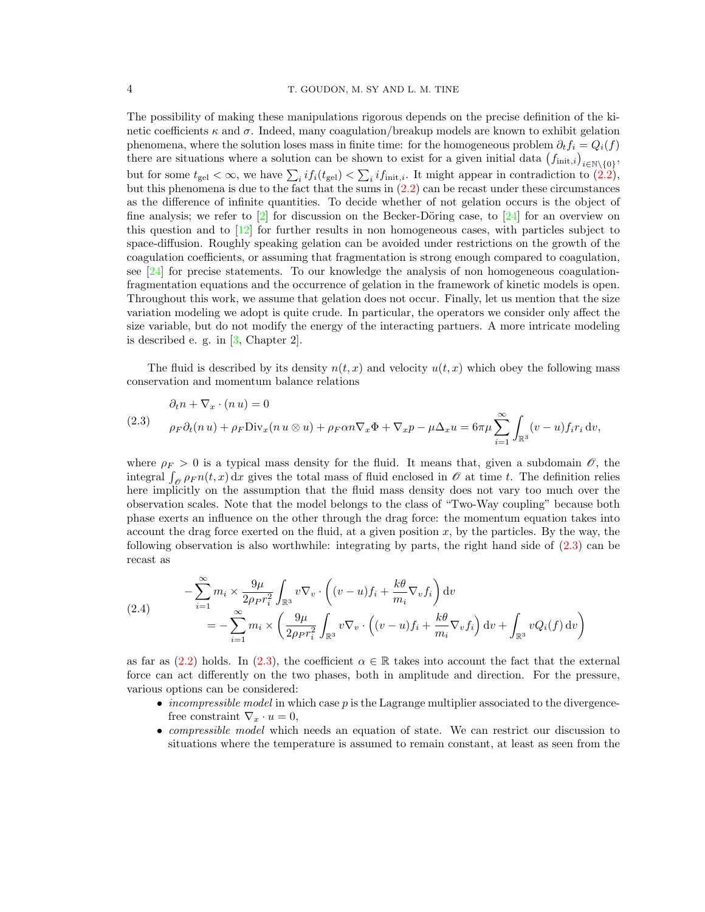The possibility of making these manipulations rigorous depends on the precise definition of the kinetic coefficients  $\kappa$  and  $\sigma$ . Indeed, many coagulation/breakup models are known to exhibit gelation phenomena, where the solution loses mass in finite time: for the homogeneous problem  $\partial_t f_i = Q_i(f)$ there are situations where a solution can be shown to exist for a given initial data  $(f_{\text{init},i})_{i \in \mathbb{N} \setminus \{0\}},$ but for some  $t_{gel} < \infty$ , we have  $\sum_i i f_i(t_{gel}) < \sum_i i f_{init,i}$ . It might appear in contradiction to [\(2.2\)](#page-2-1), but this phenomena is due to the fact that the sums in  $(2.2)$  can be recast under these circumstances as the difference of infinite quantities. To decide whether of not gelation occurs is the object of fine analysis; we refer to  $\lbrack 2 \rbrack$  for discussion on the Becker-Döring case, to  $\lbrack 24 \rbrack$  for an overview on this question and to [\[12\]](#page-18-18) for further results in non homogeneous cases, with particles subject to space-diffusion. Roughly speaking gelation can be avoided under restrictions on the growth of the coagulation coefficients, or assuming that fragmentation is strong enough compared to coagulation, see  $[24]$  for precise statements. To our knowledge the analysis of non homogeneous coagulationfragmentation equations and the occurrence of gelation in the framework of kinetic models is open. Throughout this work, we assume that gelation does not occur. Finally, let us mention that the size variation modeling we adopt is quite crude. In particular, the operators we consider only affect the size variable, but do not modify the energy of the interacting partners. A more intricate modeling is described e. g. in [\[3,](#page-18-5) Chapter 2].

The fluid is described by its density  $n(t, x)$  and velocity  $u(t, x)$  which obey the following mass conservation and momentum balance relations

<span id="page-3-0"></span>(2.3) 
$$
\partial_t n + \nabla_x \cdot (n u) = 0
$$

$$
\rho_F \partial_t (n u) + \rho_F \text{Div}_x (n u \otimes u) + \rho_F \alpha n \nabla_x \Phi + \nabla_x p - \mu \Delta_x u = 6\pi \mu \sum_{i=1}^{\infty} \int_{\mathbb{R}^3} (v - u) f_i r_i \, dv,
$$

where  $\rho_F > 0$  is a typical mass density for the fluid. It means that, given a subdomain  $\mathscr{O}$ , the integral  $\int_{\mathscr{O}} \rho_F n(t, x) dx$  gives the total mass of fluid enclosed in  $\mathscr{O}$  at time t. The definition relies here implicitly on the assumption that the fluid mass density does not vary too much over the observation scales. Note that the model belongs to the class of "Two-Way coupling" because both phase exerts an influence on the other through the drag force: the momentum equation takes into account the drag force exerted on the fluid, at a given position  $x$ , by the particles. By the way, the following observation is also worthwhile: integrating by parts, the right hand side of [\(2.3\)](#page-3-0) can be recast as

<span id="page-3-1"></span>(2.4) 
$$
- \sum_{i=1}^{\infty} m_i \times \frac{9\mu}{2\rho_P r_i^2} \int_{\mathbb{R}^3} v \nabla_v \cdot \left( (v - u) f_i + \frac{k\theta}{m_i} \nabla_v f_i \right) dv
$$

$$
= - \sum_{i=1}^{\infty} m_i \times \left( \frac{9\mu}{2\rho_P r_i^2} \int_{\mathbb{R}^3} v \nabla_v \cdot \left( (v - u) f_i + \frac{k\theta}{m_i} \nabla_v f_i \right) dv + \int_{\mathbb{R}^3} v Q_i(f) dv \right)
$$

as far as [\(2.2\)](#page-2-1) holds. In [\(2.3\)](#page-3-0), the coefficient  $\alpha \in \mathbb{R}$  takes into account the fact that the external force can act differently on the two phases, both in amplitude and direction. For the pressure, various options can be considered:

- *incompressible model* in which case p is the Lagrange multiplier associated to the divergencefree constraint  $\nabla_x \cdot u = 0$ ,
- compressible model which needs an equation of state. We can restrict our discussion to situations where the temperature is assumed to remain constant, at least as seen from the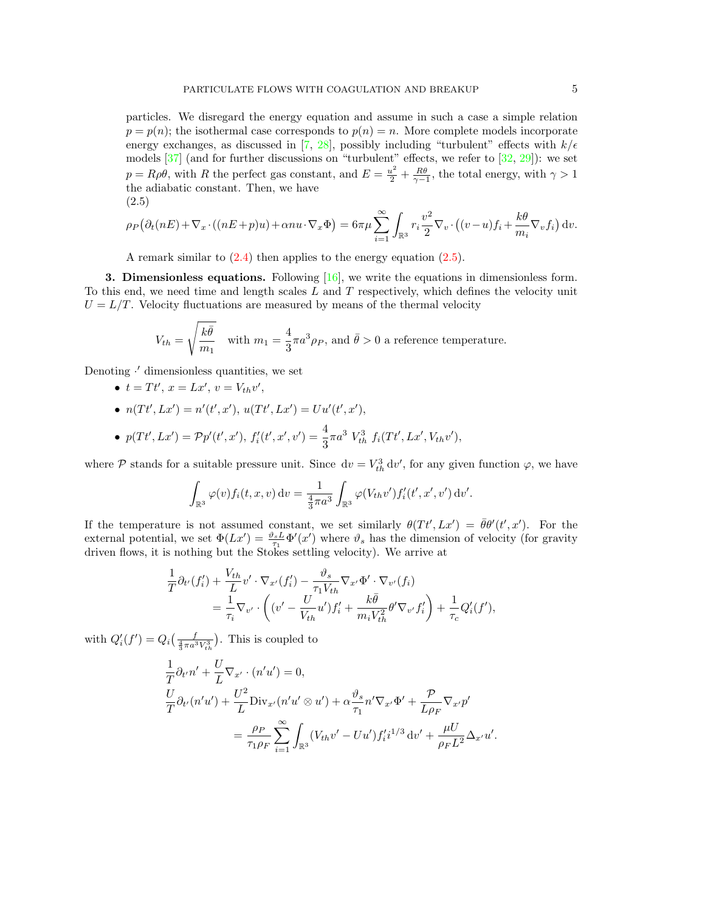particles. We disregard the energy equation and assume in such a case a simple relation  $p = p(n)$ ; the isothermal case corresponds to  $p(n) = n$ . More complete models incorporate energy exchanges, as discussed in [\[7,](#page-18-19) [28\]](#page-18-13), possibly including "turbulent" effects with  $k/\epsilon$ models  $[37]$  (and for further discussions on "turbulent" effects, we refer to  $[32, 29]$  $[32, 29]$ ): we set  $p = R\rho\theta$ , with R the perfect gas constant, and  $E = \frac{u^2}{2} + \frac{R\theta}{\gamma - 1}$ , the total energy, with  $\gamma > 1$ the adiabatic constant. Then, we have (2.5)

<span id="page-4-1"></span>
$$
\rho_P(\partial_t(nE) + \nabla_x \cdot ((nE + p)u) + \alpha nu \cdot \nabla_x \Phi) = 6\pi\mu \sum_{i=1}^{\infty} \int_{\mathbb{R}^3} r_i \frac{v^2}{2} \nabla_v \cdot ((v - u)f_i + \frac{k\theta}{m_i} \nabla_v f_i) dv.
$$

A remark similar to  $(2.4)$  then applies to the energy equation  $(2.5)$ .

<span id="page-4-0"></span>**3. Dimensionless equations.** Following  $[16]$ , we write the equations in dimensionless form. To this end, we need time and length scales  $L$  and  $T$  respectively, which defines the velocity unit  $U = L/T$ . Velocity fluctuations are measured by means of the thermal velocity

$$
V_{th} = \sqrt{\frac{k\bar{\theta}}{m_1}}
$$
 with  $m_1 = \frac{4}{3}\pi a^3 \rho_P$ , and  $\bar{\theta} > 0$  a reference temperature.

Denoting  $\cdot'$  dimensionless quantities, we set

- $t = Tt', x = Lx', v = V_{th}v',$
- $n(Tt', Lx') = n'(t', x'), u(Tt', Lx') = Uu'(t', x'),$

• 
$$
p(Tt', Lx') = \mathcal{P}p'(t', x'), f'_i(t', x', v') = \frac{4}{3}\pi a^3 V_{th}^3 f_i(Tt', Lx', V_{th}v'),
$$

where  $P$  stands for a suitable pressure unit. Since  $dv = V_{th}^3 dv'$ , for any given function  $\varphi$ , we have

$$
\int_{\mathbb{R}^3} \varphi(v) f_i(t, x, v) dv = \frac{1}{\frac{4}{3}\pi a^3} \int_{\mathbb{R}^3} \varphi(V_{th}v') f_i'(t', x', v') dv'.
$$

If the temperature is not assumed constant, we set similarly  $\theta(Tt', Lx') = \bar{\theta}\theta'(t', x')$ . For the external potential, we set  $\Phi(Lx') = \frac{\vartheta_s L}{\tau_1} \Phi'(x')$  where  $\vartheta_s$  has the dimension of velocity (for gravity driven flows, it is nothing but the Stokes settling velocity). We arrive at

$$
\frac{1}{T}\partial_{t'}(f'_i) + \frac{V_{th}}{L}v' \cdot \nabla_{x'}(f'_i) - \frac{\vartheta_s}{\tau_1 V_{th}} \nabla_{x'} \Phi' \cdot \nabla_{v'}(f_i) \n= \frac{1}{\tau_i} \nabla_{v'} \cdot \left( (v' - \frac{U}{V_{th}}u')f'_i + \frac{k\bar{\theta}}{m_i V_{th}^2} \theta' \nabla_{v'} f'_i \right) + \frac{1}{\tau_c} Q'_i(f'),
$$

with  $Q_i'(f') = Q_i(\frac{f}{\frac{4}{3}\pi a^3 V_{th}^3})$ . This is coupled to

$$
\frac{1}{T}\partial_{t'}n' + \frac{U}{L}\nabla_{x'} \cdot (n'u') = 0,
$$
\n
$$
\frac{U}{T}\partial_{t'}(n'u') + \frac{U^2}{L}\text{Div}_{x'}(n'u' \otimes u') + \alpha \frac{\vartheta_s}{\tau_1}n'\nabla_{x'}\Phi' + \frac{\mathcal{P}}{L\rho_F}\nabla_{x'}p'
$$
\n
$$
= \frac{\rho_P}{\tau_1 \rho_F} \sum_{i=1}^{\infty} \int_{\mathbb{R}^3} (V_{th}v' - Uu')f'_i i^{1/3} dv' + \frac{\mu U}{\rho_F L^2} \Delta_{x'}u'.
$$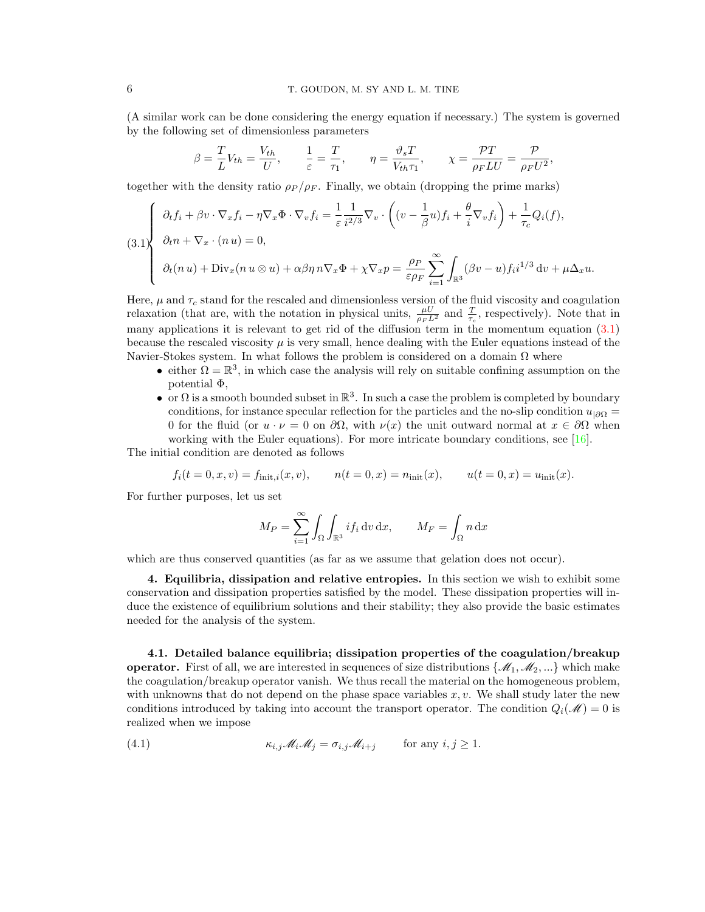(A similar work can be done considering the energy equation if necessary.) The system is governed by the following set of dimensionless parameters

$$
\beta = \frac{T}{L} V_{th} = \frac{V_{th}}{U}, \qquad \frac{1}{\varepsilon} = \frac{T}{\tau_1}, \qquad \eta = \frac{\vartheta_s T}{V_{th} \tau_1}, \qquad \chi = \frac{\mathcal{P} T}{\rho_F L U} = \frac{\mathcal{P}}{\rho_F U^2},
$$

together with the density ratio  $\rho_P / \rho_F$ . Finally, we obtain (dropping the prime marks)

<span id="page-5-1"></span>
$$
(3.1)\begin{cases} \partial_t f_i + \beta v \cdot \nabla_x f_i - \eta \nabla_x \Phi \cdot \nabla_v f_i = \frac{1}{\varepsilon} \frac{1}{i^{2/3}} \nabla_v \cdot \left( (v - \frac{1}{\beta} u) f_i + \frac{\theta}{i} \nabla_v f_i \right) + \frac{1}{\tau_c} Q_i(f), \\ \partial_t n + \nabla_x \cdot (n u) = 0, \\ \partial_t (n u) + \text{Div}_x(n u \otimes u) + \alpha \beta \eta n \nabla_x \Phi + \chi \nabla_x p = \frac{\rho_P}{\varepsilon \rho_F} \sum_{i=1}^{\infty} \int_{\mathbb{R}^3} (\beta v - u) f_i i^{1/3} dv + \mu \Delta_x u. \end{cases}
$$

Here,  $\mu$  and  $\tau_c$  stand for the rescaled and dimensionless version of the fluid viscosity and coagulation relaxation (that are, with the notation in physical units,  $\frac{\mu U}{\rho_F L^2}$  and  $\frac{T}{\tau_c}$ , respectively). Note that in many applications it is relevant to get rid of the diffusion term in the momentum equation  $(3.1)$ because the rescaled viscosity  $\mu$  is very small, hence dealing with the Euler equations instead of the Navier-Stokes system. In what follows the problem is considered on a domain  $\Omega$  where

- either  $\Omega = \mathbb{R}^3$ , in which case the analysis will rely on suitable confining assumption on the potential Φ,
- or  $\Omega$  is a smooth bounded subset in  $\mathbb{R}^3$ . In such a case the problem is completed by boundary conditions, for instance specular reflection for the particles and the no-slip condition  $u_{|\partial\Omega} =$ 0 for the fluid (or  $u \cdot \nu = 0$  on  $\partial\Omega$ , with  $\nu(x)$  the unit outward normal at  $x \in \partial\Omega$  when working with the Euler equations). For more intricate boundary conditions, see [\[16\]](#page-18-10).

The initial condition are denoted as follows

$$
f_i(t = 0, x, v) = f_{\text{init},i}(x, v),
$$
  $n(t = 0, x) = n_{\text{init}}(x),$   $u(t = 0, x) = u_{\text{init}}(x).$ 

For further purposes, let us set

$$
M_P = \sum_{i=1}^{\infty} \int_{\Omega} \int_{\mathbb{R}^3} i f_i \, \mathrm{d}v \, \mathrm{d}x, \qquad M_F = \int_{\Omega} n \, \mathrm{d}x
$$

which are thus conserved quantities (as far as we assume that gelation does not occur).

<span id="page-5-0"></span>4. Equilibria, dissipation and relative entropies. In this section we wish to exhibit some conservation and dissipation properties satisfied by the model. These dissipation properties will induce the existence of equilibrium solutions and their stability; they also provide the basic estimates needed for the analysis of the system.

4.1. Detailed balance equilibria; dissipation properties of the coagulation/breakup **operator.** First of all, we are interested in sequences of size distributions  $\{\mathcal{M}_1,\mathcal{M}_2,\ldots\}$  which make the coagulation/breakup operator vanish. We thus recall the material on the homogeneous problem, with unknowns that do not depend on the phase space variables  $x, v$ . We shall study later the new conditions introduced by taking into account the transport operator. The condition  $Q_i(\mathcal{M}) = 0$  is realized when we impose

<span id="page-5-2"></span>(4.1) 
$$
\kappa_{i,j} \mathscr{M}_i \mathscr{M}_j = \sigma_{i,j} \mathscr{M}_{i+j} \quad \text{for any } i, j \geq 1.
$$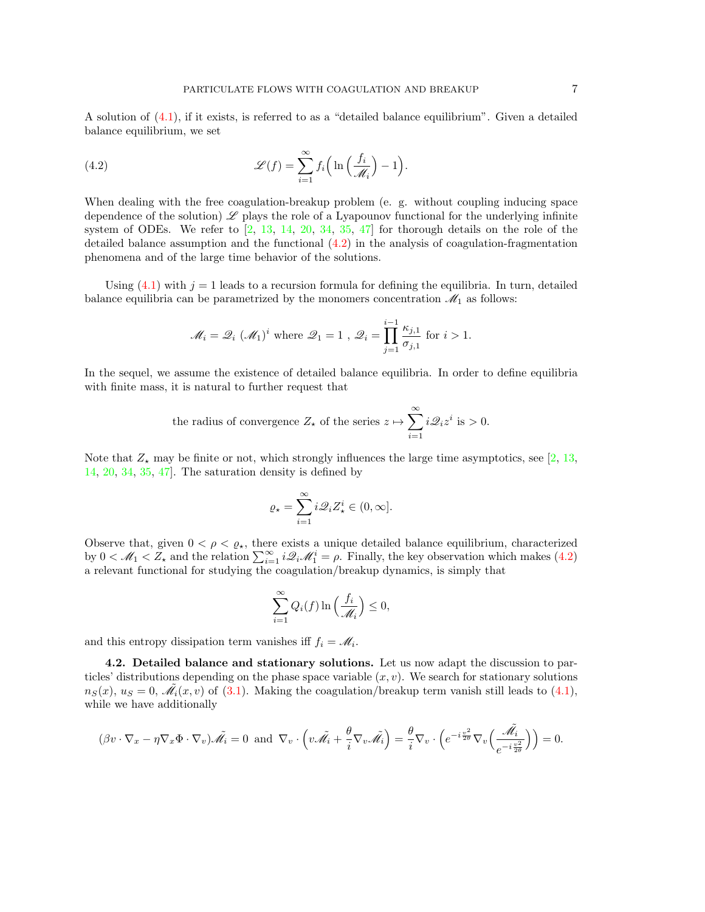A solution of [\(4.1\)](#page-5-2), if it exists, is referred to as a "detailed balance equilibrium". Given a detailed balance equilibrium, we set

<span id="page-6-0"></span>(4.2) 
$$
\mathscr{L}(f) = \sum_{i=1}^{\infty} f_i \left( \ln \left( \frac{f_i}{\mathscr{M}_i} \right) - 1 \right).
$$

When dealing with the free coagulation-breakup problem (e. g. without coupling inducing space dependence of the solution)  $\mathscr L$  plays the role of a Lyapounov functional for the underlying infinite system of ODEs. We refer to  $\left[2, 13, 14, 20, 34, 35, 47\right]$  $\left[2, 13, 14, 20, 34, 35, 47\right]$  $\left[2, 13, 14, 20, 34, 35, 47\right]$  $\left[2, 13, 14, 20, 34, 35, 47\right]$  $\left[2, 13, 14, 20, 34, 35, 47\right]$  $\left[2, 13, 14, 20, 34, 35, 47\right]$  $\left[2, 13, 14, 20, 34, 35, 47\right]$  $\left[2, 13, 14, 20, 34, 35, 47\right]$  $\left[2, 13, 14, 20, 34, 35, 47\right]$  $\left[2, 13, 14, 20, 34, 35, 47\right]$  $\left[2, 13, 14, 20, 34, 35, 47\right]$  for thorough details on the role of the detailed balance assumption and the functional [\(4.2\)](#page-6-0) in the analysis of coagulation-fragmentation phenomena and of the large time behavior of the solutions.

Using  $(4.1)$  with  $j = 1$  leads to a recursion formula for defining the equilibria. In turn, detailed balance equilibria can be parametrized by the monomers concentration  $\mathcal{M}_1$  as follows:

$$
\mathcal{M}_i = \mathcal{Q}_i \ (\mathcal{M}_1)^i \text{ where } \mathcal{Q}_1 = 1 \ , \ \mathcal{Q}_i = \prod_{j=1}^{i-1} \frac{\kappa_{j,1}}{\sigma_{j,1}} \text{ for } i > 1.
$$

In the sequel, we assume the existence of detailed balance equilibria. In order to define equilibria with finite mass, it is natural to further request that

the radius of convergence 
$$
Z_{\star}
$$
 of the series  $z \mapsto \sum_{i=1}^{\infty} i \mathcal{Q}_i z^i$  is > 0.

Note that  $Z_{\star}$  may be finite or not, which strongly influences the large time asymptotics, see [\[2,](#page-18-16) [13,](#page-18-20) [14,](#page-18-21) [20,](#page-18-15) [34,](#page-19-18) [35,](#page-19-19) [47\]](#page-19-20). The saturation density is defined by

$$
\varrho_\star=\sum_{i=1}^\infty i\mathscr{Q}_iZ_\star^i\in(0,\infty].
$$

Observe that, given  $0 < \rho < \varrho_{\star}$ , there exists a unique detailed balance equilibrium, characterized by  $0 < \mathcal{M}_1 < Z_*$  and the relation  $\sum_{i=1}^{\infty} i \mathcal{Q}_i \mathcal{M}_1^i = \rho$ . Finally, the key observation which makes [\(4.2\)](#page-6-0) a relevant functional for studying the coagulation/breakup dynamics, is simply that

$$
\sum_{i=1}^{\infty} Q_i(f) \ln \left( \frac{f_i}{\mathcal{M}_i} \right) \le 0,
$$

and this entropy dissipation term vanishes iff  $f_i = M_i$ .

4.2. Detailed balance and stationary solutions. Let us now adapt the discussion to particles' distributions depending on the phase space variable  $(x, v)$ . We search for stationary solutions  $n_S(x)$ ,  $u_S = 0$ ,  $\tilde{\mathcal{M}_i}(x, v)$  of [\(3.1\)](#page-5-1). Making the coagulation/breakup term vanish still leads to [\(4.1\)](#page-5-2), while we have additionally

$$
(\beta v \cdot \nabla_x - \eta \nabla_x \Phi \cdot \nabla_v) \tilde{\mathscr{M}_i} = 0 \text{ and } \nabla_v \cdot \left( v \tilde{\mathscr{M}_i} + \frac{\theta}{i} \nabla_v \tilde{\mathscr{M}_i} \right) = \frac{\theta}{i} \nabla_v \cdot \left( e^{-i \frac{v^2}{2\theta}} \nabla_v \left( \frac{\tilde{\mathscr{M}_i}}{e^{-i \frac{v^2}{2\theta}}} \right) \right) = 0.
$$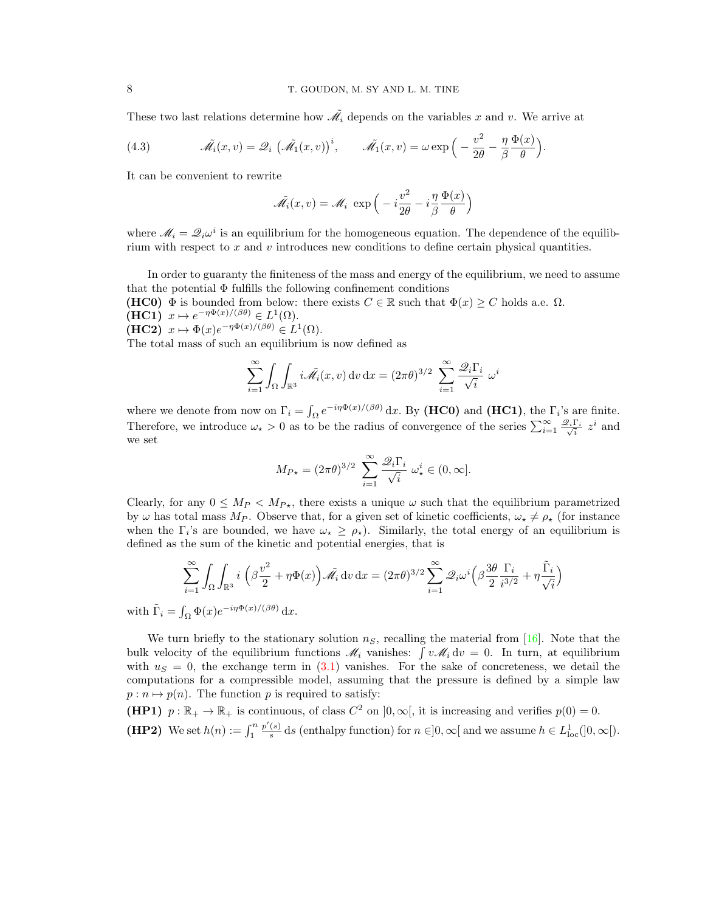These two last relations determine how  $\tilde{\mathcal{M}}_i$  depends on the variables x and v. We arrive at

(4.3) 
$$
\tilde{\mathcal{M}}_i(x,v) = \mathcal{Q}_i \left( \tilde{\mathcal{M}}_1(x,v) \right)^i, \qquad \tilde{\mathcal{M}}_1(x,v) = \omega \exp \left( -\frac{v^2}{2\theta} - \frac{\eta}{\beta} \frac{\Phi(x)}{\theta} \right).
$$

It can be convenient to rewrite

$$
\tilde{\mathcal{M}_i}(x, v) = \mathcal{M}_i \exp\left(-i\frac{v^2}{2\theta} - i\frac{\eta}{\beta}\frac{\Phi(x)}{\theta}\right)
$$

where  $\mathcal{M}_i = \mathcal{Q}_i \omega^i$  is an equilibrium for the homogeneous equation. The dependence of the equilibrium with respect to  $x$  and  $v$  introduces new conditions to define certain physical quantities.

In order to guaranty the finiteness of the mass and energy of the equilibrium, we need to assume that the potential  $\Phi$  fulfills the following confinement conditions

(HC0)  $\Phi$  is bounded from below: there exists  $C \in \mathbb{R}$  such that  $\Phi(x) \geq C$  holds a.e.  $\Omega$ .  $(HC1)$   $x \mapsto e^{-\eta \Phi(x)/(\beta \theta)} \in L^1(\Omega)$ .  $(HC2)$   $x \mapsto \Phi(x)e^{-\eta \Phi(x)/(\beta \theta)} \in L^1(\Omega)$ .

The total mass of such an equilibrium is now defined as

$$
\sum_{i=1}^{\infty} \int_{\Omega} \int_{\mathbb{R}^3} i \tilde{\mathscr{M}_i}(x, v) \, dv \, dx = (2\pi \theta)^{3/2} \sum_{i=1}^{\infty} \frac{\mathscr{Q}_i \Gamma_i}{\sqrt{i}} \omega^i
$$

where we denote from now on  $\Gamma_i = \int_{\Omega} e^{-i\eta \Phi(x)/(\beta \theta)} dx$ . By (HC0) and (HC1), the  $\Gamma_i$ 's are finite. Therefore, we introduce  $\omega_\star > 0$  as to be the radius of convergence of the series  $\sum_{i=1}^{\infty} \frac{\mathscr{Q}_i \Gamma_i}{\sqrt{i}} z^i$  and we set

$$
M_{P\star} = (2\pi\theta)^{3/2} \sum_{i=1}^{\infty} \frac{\mathscr{Q}_i \Gamma_i}{\sqrt{i}} \omega_\star^i \in (0, \infty].
$$

Clearly, for any  $0 \leq M_P \leq M_{P<sub>+</sub>}$ , there exists a unique  $\omega$  such that the equilibrium parametrized by  $\omega$  has total mass  $M_P$ . Observe that, for a given set of kinetic coefficients,  $\omega_* \neq \rho_*$  (for instance when the  $\Gamma_i$ 's are bounded, we have  $\omega_\star \geq \rho_\star$ ). Similarly, the total energy of an equilibrium is defined as the sum of the kinetic and potential energies, that is

$$
\sum_{i=1}^{\infty} \int_{\Omega} \int_{\mathbb{R}^3} i \left( \beta \frac{v^2}{2} + \eta \Phi(x) \right) \tilde{\mathscr{M}_i} \, dv \, dx = (2\pi \theta)^{3/2} \sum_{i=1}^{\infty} \mathscr{Q}_i \omega^i \left( \beta \frac{3\theta}{2} \frac{\Gamma_i}{i^{3/2}} + \eta \frac{\tilde{\Gamma}_i}{\sqrt{i}} \right)
$$

with  $\tilde{\Gamma}_i = \int_{\Omega} \Phi(x) e^{-i\eta \Phi(x)/(\beta \theta)} dx$ .

We turn briefly to the stationary solution  $n<sub>S</sub>$ , recalling the material from [\[16\]](#page-18-10). Note that the bulk velocity of the equilibrium functions  $\mathcal{M}_i$  vanishes:  $\int v \mathcal{M}_i dv = 0$ . In turn, at equilibrium with  $u<sub>S</sub> = 0$ , the exchange term in [\(3.1\)](#page-5-1) vanishes. For the sake of concreteness, we detail the computations for a compressible model, assuming that the pressure is defined by a simple law  $p : n \mapsto p(n)$ . The function p is required to satisfy:

(HP1)  $p : \mathbb{R}_+ \to \mathbb{R}_+$  is continuous, of class  $C^2$  on  $]0, \infty[$ , it is increasing and verifies  $p(0) = 0$ . (HP2) We set  $h(n) := \int_1^n$  $p'(s)$  $\frac{(s)}{s}$  ds (enthalpy function) for  $n \in ]0,\infty[$  and we assume  $h \in L^1_{loc}([0,\infty[).$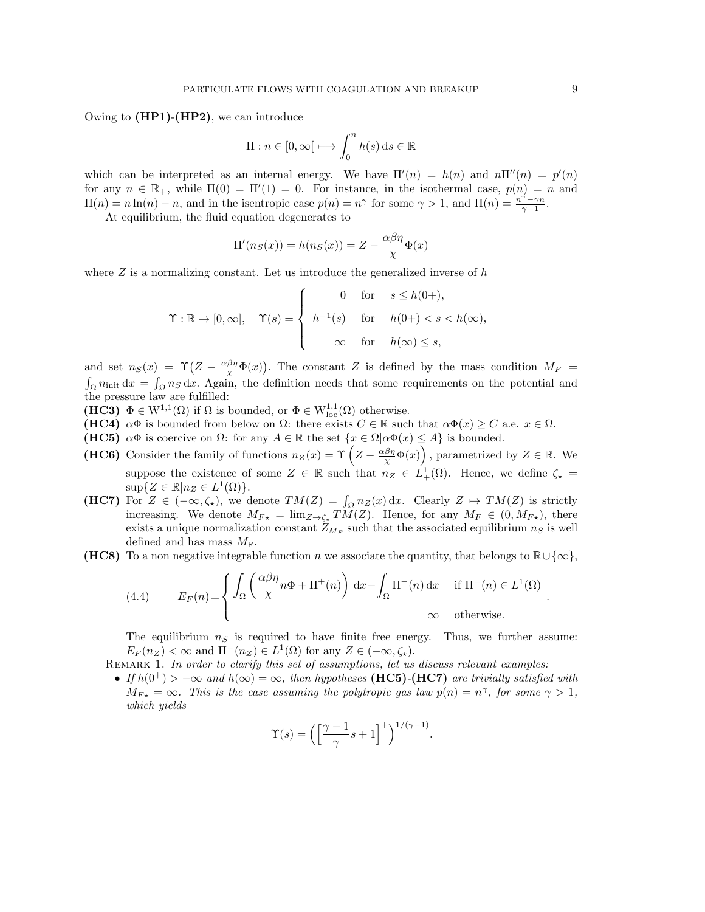Owing to  $(HP1)-(HP2)$ , we can introduce

$$
\Pi : n \in [0, \infty[ \longmapsto \int_0^n h(s) \, ds \in \mathbb{R}
$$

which can be interpreted as an internal energy. We have  $\Pi'(n) = h(n)$  and  $n\Pi''(n) = p'(n)$ for any  $n \in \mathbb{R}_+$ , while  $\Pi(0) = \Pi'(1) = 0$ . For instance, in the isothermal case,  $p(n) = n$  and  $\Pi(n) = n \ln(n) - n$ , and in the isentropic case  $p(n) = n^{\gamma}$  for some  $\gamma > 1$ , and  $\Pi(n) = \frac{n^{\gamma} - \gamma n}{\gamma - 1}$ .

At equilibrium, the fluid equation degenerates to

$$
\Pi'(n_S(x)) = h(n_S(x)) = Z - \frac{\alpha \beta \eta}{\chi} \Phi(x)
$$

where  $Z$  is a normalizing constant. Let us introduce the generalized inverse of  $h$ 

$$
\Upsilon : \mathbb{R} \to [0, \infty], \quad \Upsilon(s) = \begin{cases} 0 & \text{for} \quad s \le h(0+), \\ h^{-1}(s) & \text{for} \quad h(0+) < s < h(\infty), \\ \infty & \text{for} \quad h(\infty) \le s, \end{cases}
$$

and set  $n_S(x) = \Upsilon \left( Z - \frac{\alpha \beta \eta}{\chi} \Phi(x) \right)$ . The constant Z is defined by the mass condition  $M_F =$  $\int_{\Omega} n_{\text{init}} \, dx = \int_{\Omega} n_S \, dx$ . Again, the definition needs that some requirements on the potential and the pressure law are fulfilled:

- (HC3)  $\Phi \in W^{1,1}(\Omega)$  if  $\Omega$  is bounded, or  $\Phi \in W^{1,1}_{loc}(\Omega)$  otherwise.
- (HC4)  $\alpha\Phi$  is bounded from below on  $\Omega$ : there exists  $C \in \mathbb{R}$  such that  $\alpha\Phi(x) \geq C$  a.e.  $x \in \Omega$ .
- (HC5)  $\alpha \Phi$  is coercive on  $\Omega$ : for any  $A \in \mathbb{R}$  the set  $\{x \in \Omega | \alpha \Phi(x) \leq A\}$  is bounded.
- (HC6) Consider the family of functions  $n_Z(x) = \Upsilon\left(Z \frac{\alpha\beta\eta}{\chi}\Phi(x)\right)$ , parametrized by  $Z \in \mathbb{R}$ . We suppose the existence of some  $Z \in \mathbb{R}$  such that  $n_Z \in L^1_+(\Omega)$ . Hence, we define  $\zeta_* =$  $\sup\{Z \in \mathbb{R} | n_Z \in L^1(\Omega)\}.$
- (HC7) For  $Z \in (-\infty, \zeta_*)$ , we denote  $TM(Z) = \int_{\Omega} n_Z(x) dx$ . Clearly  $Z \mapsto TM(Z)$  is strictly increasing. We denote  $M_{F*} = \lim_{Z \to \zeta_*} TM(Z)$ . Hence, for any  $M_F \in (0, M_{F*})$ , there exists a unique normalization constant  $Z_{M_F}$  such that the associated equilibrium  $n_S$  is well defined and has mass  $M_F$ .
- (HC8) To a non negative integrable function n we associate the quantity, that belongs to  $\mathbb{R}\cup\{\infty\}$ ,

(4.4) 
$$
E_F(n) = \begin{cases} \int_{\Omega} \left( \frac{\alpha \beta \eta}{\chi} n \Phi + \Pi^+(n) \right) dx - \int_{\Omega} \Pi^-(n) dx & \text{if } \Pi^-(n) \in L^1(\Omega) \\ \infty & \text{otherwise.} \end{cases}
$$

The equilibrium  $n<sub>S</sub>$  is required to have finite free energy. Thus, we further assume:  $E_F(n_Z) < \infty$  and  $\Pi^-(n_Z) \in L^1(\Omega)$  for any  $Z \in (-\infty, \zeta_*)$ .

- REMARK 1. In order to clarify this set of assumptions, let us discuss relevant examples:
- If  $h(0^+) > -\infty$  and  $h(\infty) = \infty$ , then hypotheses (HC5)-(HC7) are trivially satisfied with  $M_{F*} = \infty$ . This is the case assuming the polytropic gas law  $p(n) = n^{\gamma}$ , for some  $\gamma > 1$ , which yields

$$
\Upsilon(s) = \left( \left[ \frac{\gamma - 1}{\gamma} s + 1 \right]^+ \right)^{1/(\gamma - 1)}.
$$

.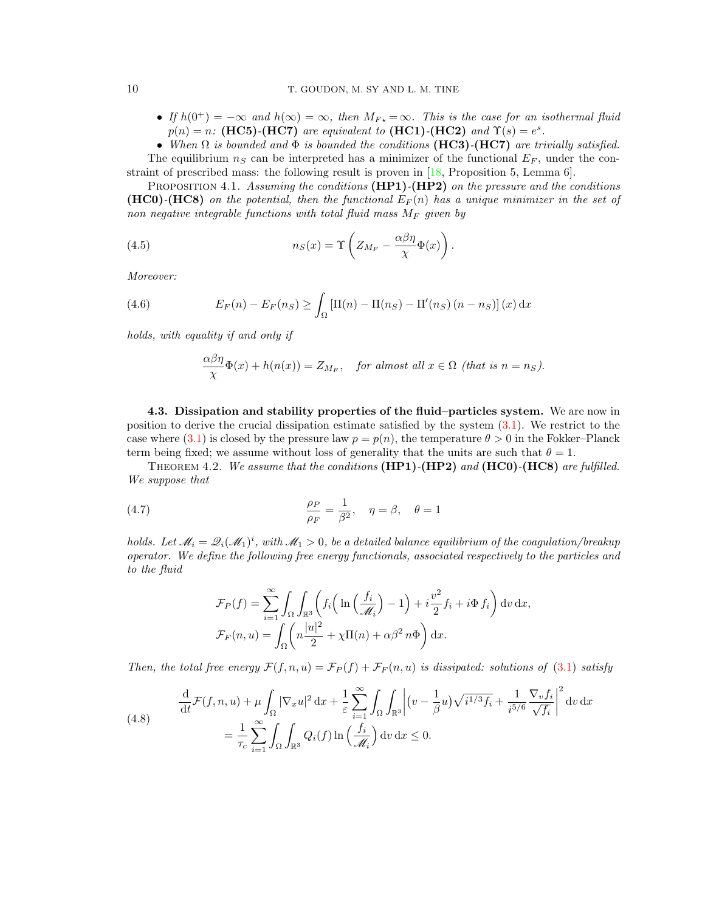• If  $h(0^+) = -\infty$  and  $h(\infty) = \infty$ , then  $M_{F_{\star}} = \infty$ . This is the case for an isothermal fluid  $p(n) = n$ : (HC5)-(HC7) are equivalent to (HC1)-(HC2) and  $\Upsilon(s) = e^s$ .

• When  $\Omega$  is bounded and  $\Phi$  is bounded the conditions (HC3)-(HC7) are trivially satisfied. The equilibrium  $n<sub>S</sub>$  can be interpreted has a minimizer of the functional  $E<sub>F</sub>$ , under the con-

straint of prescribed mass: the following result is proven in [\[18,](#page-18-22) Proposition 5, Lemma 6].

PROPOSITION 4.1. Assuming the conditions  $(HP1)-(HP2)$  on the pressure and the conditions **(HC0)-(HC8)** on the potential, then the functional  $E_F(n)$  has a unique minimizer in the set of non negative integrable functions with total fluid mass  $M_F$  given by

(4.5) 
$$
n_S(x) = \Upsilon \left( Z_{M_F} - \frac{\alpha \beta \eta}{\chi} \Phi(x) \right).
$$

Moreover:

(4.6) 
$$
E_F(n) - E_F(n_S) \ge \int_{\Omega} \left[\Pi(n) - \Pi(n_S) - \Pi'(n_S)(n - n_S)\right](x) dx
$$

holds, with equality if and only if

<span id="page-9-1"></span><span id="page-9-0"></span>
$$
\frac{\alpha\beta\eta}{\chi}\Phi(x) + h(n(x)) = Z_{M_F}, \quad \text{for almost all } x \in \Omega \text{ (that is } n = n_S).
$$

4.3. Dissipation and stability properties of the fluid–particles system. We are now in position to derive the crucial dissipation estimate satisfied by the system [\(3.1\)](#page-5-1). We restrict to the case where [\(3.1\)](#page-5-1) is closed by the pressure law  $p = p(n)$ , the temperature  $\theta > 0$  in the Fokker–Planck term being fixed; we assume without loss of generality that the units are such that  $\theta = 1$ .

<span id="page-9-3"></span>THEOREM 4.2. We assume that the conditions  $(HP1)-(HP2)$  and  $(HC0)-(HC8)$  are fulfilled. We suppose that

(4.7) 
$$
\frac{\rho_P}{\rho_F} = \frac{1}{\beta^2}, \quad \eta = \beta, \quad \theta = 1
$$

holds. Let  $\mathcal{M}_i = \mathcal{Q}_i(\mathcal{M}_1)^i$ , with  $\mathcal{M}_1 > 0$ , be a detailed balance equilibrium of the coagulation/breakup operator. We define the following free energy functionals, associated respectively to the particles and to the fluid

<span id="page-9-2"></span>
$$
\mathcal{F}_P(f) = \sum_{i=1}^{\infty} \int_{\Omega} \int_{\mathbb{R}^3} \left( f_i \left( \ln \left( \frac{f_i}{\mathcal{M}_i} \right) - 1 \right) + i \frac{v^2}{2} f_i + i \Phi f_i \right) dv \, dx,
$$

$$
\mathcal{F}_F(n, u) = \int_{\Omega} \left( n \frac{|u|^2}{2} + \chi \Pi(n) + \alpha \beta^2 n \Phi \right) dx.
$$

Then, the total free energy  $\mathcal{F}(f,n,u) = \mathcal{F}_P(f) + \mathcal{F}_F(n,u)$  is dissipated: solutions of [\(3.1\)](#page-5-1) satisfy

<span id="page-9-4"></span>(4.8) 
$$
\frac{\mathrm{d}}{\mathrm{d}t} \mathcal{F}(f, n, u) + \mu \int_{\Omega} |\nabla_x u|^2 \, \mathrm{d}x + \frac{1}{\varepsilon} \sum_{i=1}^{\infty} \int_{\Omega} \int_{\mathbb{R}^3} \left| (v - \frac{1}{\beta} u) \sqrt{i^{1/3} f_i} + \frac{1}{i^{5/6}} \frac{\nabla_v f_i}{\sqrt{f_i}} \right|^2 \mathrm{d}v \, \mathrm{d}x
$$

$$
= \frac{1}{\tau_c} \sum_{i=1}^{\infty} \int_{\Omega} \int_{\mathbb{R}^3} Q_i(f) \ln \left( \frac{f_i}{\mathcal{M}_i} \right) \mathrm{d}v \, \mathrm{d}x \le 0.
$$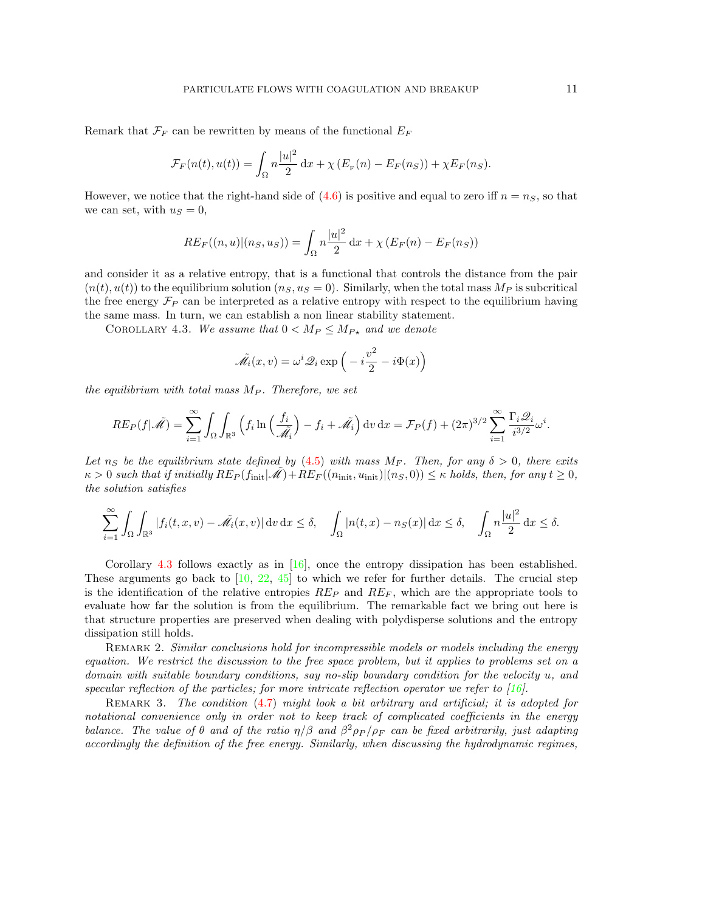Remark that  $\mathcal{F}_F$  can be rewritten by means of the functional  $E_F$ 

$$
\mathcal{F}_F(n(t), u(t)) = \int_{\Omega} n \frac{|u|^2}{2} dx + \chi (E_F(n) - E_F(n_S)) + \chi E_F(n_S).
$$

However, we notice that the right-hand side of  $(4.6)$  is positive and equal to zero iff  $n = n<sub>S</sub>$ , so that we can set, with  $u<sub>S</sub> = 0$ ,

$$
RE_F((n, u)|(n_S, u_S)) = \int_{\Omega} n \frac{|u|^2}{2} dx + \chi (E_F(n) - E_F(n_S))
$$

and consider it as a relative entropy, that is a functional that controls the distance from the pair  $(n(t), u(t))$  to the equilibrium solution  $(n<sub>S</sub>, u<sub>S</sub> = 0)$ . Similarly, when the total mass  $M<sub>P</sub>$  is subcritical the free energy  $\mathcal{F}_P$  can be interpreted as a relative entropy with respect to the equilibrium having the same mass. In turn, we can establish a non linear stability statement.

<span id="page-10-0"></span>COROLLARY 4.3. We assume that  $0 < M_P \le M_{P*}$  and we denote

$$
\tilde{\mathscr{M}}_i(x,v) = \omega^i \mathscr{Q}_i \exp\left(-i\frac{v^2}{2} - i\Phi(x)\right)
$$

the equilibrium with total mass  $M_P$ . Therefore, we set

$$
RE_P(f|\tilde{\mathscr{M}}) = \sum_{i=1}^{\infty} \int_{\Omega} \int_{\mathbb{R}^3} \left( f_i \ln \left( \frac{f_i}{\tilde{\mathscr{M}}_i} \right) - f_i + \tilde{\mathscr{M}}_i \right) \mathrm{d}v \, \mathrm{d}x = \mathcal{F}_P(f) + (2\pi)^{3/2} \sum_{i=1}^{\infty} \frac{\Gamma_i \mathscr{Q}_i}{i^{3/2}} \omega^i.
$$

Let  $n_S$  be the equilibrium state defined by [\(4.5\)](#page-9-1) with mass  $M_F$ . Then, for any  $\delta > 0$ , there exits  $\kappa > 0$  such that if initially  $RE_P(f_{\text{init}}|\mathscr{M})+RE_F((n_{\text{init}}, u_{\text{init}})|(n_S, 0)) \leq \kappa$  holds, then, for any  $t \geq 0$ , the solution satisfies

$$
\sum_{i=1}^{\infty} \int_{\Omega} \int_{\mathbb{R}^3} |f_i(t, x, v) - \tilde{\mathcal{M}_i}(x, v)| \, \mathrm{d}v \, \mathrm{d}x \le \delta, \quad \int_{\Omega} |n(t, x) - n_S(x)| \, \mathrm{d}x \le \delta, \quad \int_{\Omega} n \frac{|u|^2}{2} \, \mathrm{d}x \le \delta.
$$

Corollary [4.3](#page-10-0) follows exactly as in [\[16\]](#page-18-10), once the entropy dissipation has been established. These arguments go back to  $[10, 22, 45]$  $[10, 22, 45]$  $[10, 22, 45]$  $[10, 22, 45]$  to which we refer for further details. The crucial step is the identification of the relative entropies  $RE_P$  and  $RE_F$ , which are the appropriate tools to evaluate how far the solution is from the equilibrium. The remarkable fact we bring out here is that structure properties are preserved when dealing with polydisperse solutions and the entropy dissipation still holds.

REMARK 2. Similar conclusions hold for incompressible models or models including the energy equation. We restrict the discussion to the free space problem, but it applies to problems set on a domain with suitable boundary conditions, say no-slip boundary condition for the velocity u, and specular reflection of the particles; for more intricate reflection operator we refer to  $[16]$ .

REMARK 3. The condition [\(4.7\)](#page-9-2) might look a bit arbitrary and artificial; it is adopted for notational convenience only in order not to keep track of complicated coefficients in the energy balance. The value of  $\theta$  and of the ratio  $\eta/\beta$  and  $\beta^2 \rho_P/\rho_F$  can be fixed arbitrarily, just adapting accordingly the definition of the free energy. Similarly, when discussing the hydrodynamic regimes,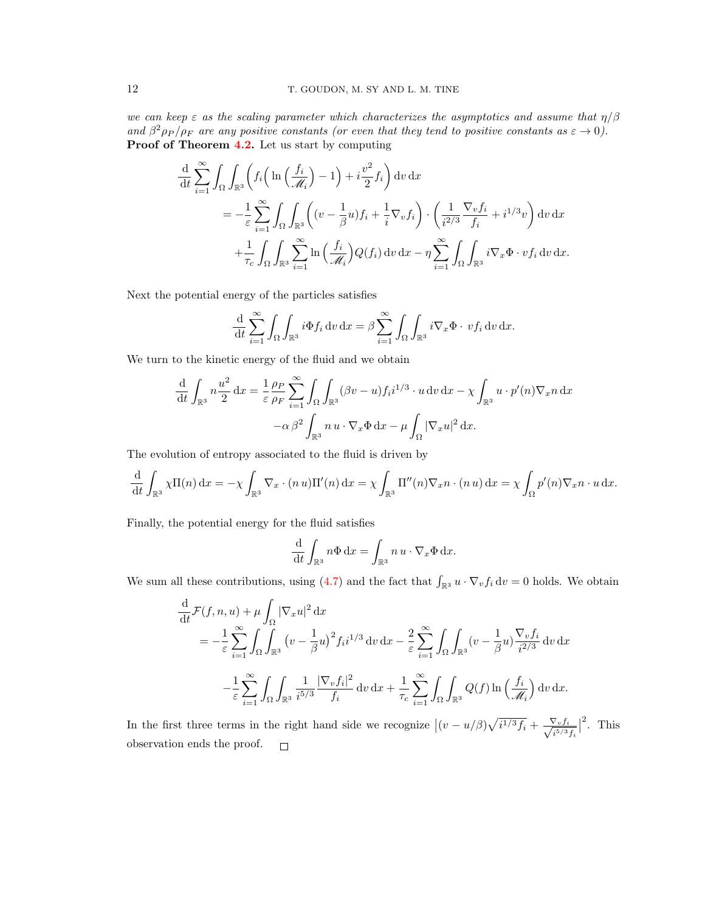we can keep  $\varepsilon$  as the scaling parameter which characterizes the asymptotics and assume that  $\eta/\beta$ and  $\beta^2 \rho_P / \rho_F$  are any positive constants (or even that they tend to positive constants as  $\varepsilon \to 0$ ). Proof of Theorem [4.2.](#page-9-3) Let us start by computing

$$
\frac{\mathrm{d}}{\mathrm{d}t} \sum_{i=1}^{\infty} \int_{\Omega} \int_{\mathbb{R}^3} \left( f_i \left( \ln \left( \frac{f_i}{\mathcal{M}_i} \right) - 1 \right) + i \frac{v^2}{2} f_i \right) \mathrm{d}v \, \mathrm{d}x
$$
\n
$$
= -\frac{1}{\varepsilon} \sum_{i=1}^{\infty} \int_{\Omega} \int_{\mathbb{R}^3} \left( (v - \frac{1}{\beta} u) f_i + \frac{1}{i} \nabla_v f_i \right) \cdot \left( \frac{1}{i^{2/3}} \frac{\nabla_v f_i}{f_i} + i^{1/3} v \right) \mathrm{d}v \, \mathrm{d}x
$$
\n
$$
+ \frac{1}{\tau_c} \int_{\Omega} \int_{\mathbb{R}^3} \sum_{i=1}^{\infty} \ln \left( \frac{f_i}{\mathcal{M}_i} \right) Q(f_i) \, \mathrm{d}v \, \mathrm{d}x - \eta \sum_{i=1}^{\infty} \int_{\Omega} \int_{\mathbb{R}^3} i \nabla_x \Phi \cdot v f_i \, \mathrm{d}v \, \mathrm{d}x.
$$

Next the potential energy of the particles satisfies

$$
\frac{\mathrm{d}}{\mathrm{d}t} \sum_{i=1}^{\infty} \int_{\Omega} \int_{\mathbb{R}^3} i \Phi f_i \, \mathrm{d}v \, \mathrm{d}x = \beta \sum_{i=1}^{\infty} \int_{\Omega} \int_{\mathbb{R}^3} i \nabla_x \Phi \cdot v f_i \, \mathrm{d}v \, \mathrm{d}x.
$$

We turn to the kinetic energy of the fluid and we obtain

$$
\frac{\mathrm{d}}{\mathrm{d}t} \int_{\mathbb{R}^3} n \frac{u^2}{2} dx = \frac{1}{\varepsilon} \frac{\rho_P}{\rho_F} \sum_{i=1}^\infty \int_{\Omega} \int_{\mathbb{R}^3} (\beta v - u) f_i i^{1/3} \cdot u \, dv \, dx - \chi \int_{\mathbb{R}^3} u \cdot p'(n) \nabla_x n \, dx
$$

$$
- \alpha \beta^2 \int_{\mathbb{R}^3} n u \cdot \nabla_x \Phi \, dx - \mu \int_{\Omega} |\nabla_x u|^2 \, dx.
$$

The evolution of entropy associated to the fluid is driven by

$$
\frac{\mathrm{d}}{\mathrm{d}t} \int_{\mathbb{R}^3} \chi \Pi(n) \, \mathrm{d}x = -\chi \int_{\mathbb{R}^3} \nabla_x \cdot (n \, u) \Pi'(n) \, \mathrm{d}x = \chi \int_{\mathbb{R}^3} \Pi''(n) \nabla_x n \cdot (n \, u) \, \mathrm{d}x = \chi \int_{\Omega} p'(n) \nabla_x n \cdot u \, \mathrm{d}x.
$$

Finally, the potential energy for the fluid satisfies

$$
\frac{\mathrm{d}}{\mathrm{d}t} \int_{\mathbb{R}^3} n\Phi \, \mathrm{d}x = \int_{\mathbb{R}^3} n\, u \cdot \nabla_x \Phi \, \mathrm{d}x.
$$

We sum all these contributions, using [\(4.7\)](#page-9-2) and the fact that  $\int_{\mathbb{R}^3} u \cdot \nabla_v f_i \, dv = 0$  holds. We obtain

$$
\frac{\mathrm{d}}{\mathrm{d}t} \mathcal{F}(f, n, u) + \mu \int_{\Omega} |\nabla_x u|^2 \, \mathrm{d}x
$$
\n
$$
= -\frac{1}{\varepsilon} \sum_{i=1}^{\infty} \int_{\Omega} \int_{\mathbb{R}^3} \left( v - \frac{1}{\beta} u \right)^2 f_i i^{1/3} \, \mathrm{d}v \, \mathrm{d}x - \frac{2}{\varepsilon} \sum_{i=1}^{\infty} \int_{\Omega} \int_{\mathbb{R}^3} \left( v - \frac{1}{\beta} u \right)^{\nabla_v f_i} \, \mathrm{d}v \, \mathrm{d}x
$$
\n
$$
- \frac{1}{\varepsilon} \sum_{i=1}^{\infty} \int_{\Omega} \int_{\mathbb{R}^3} \frac{1}{i^{5/3}} \frac{|\nabla_v f_i|^2}{f_i} \, \mathrm{d}v \, \mathrm{d}x + \frac{1}{\tau_c} \sum_{i=1}^{\infty} \int_{\Omega} \int_{\mathbb{R}^3} Q(f) \ln \left( \frac{f_i}{\mathcal{M}_i} \right) \mathrm{d}v \, \mathrm{d}x.
$$

2 . This In the first three terms in the right hand side we recognize  $|(v-u/\beta)\sqrt{i^{1/3}f_i} + \frac{\nabla_v f_i}{\sqrt{i^{5/3}}}$  $\frac{\sqrt{v}f_i}{i^{5/3}f_i}$ observation ends the proof. $\sim$  100  $\pm$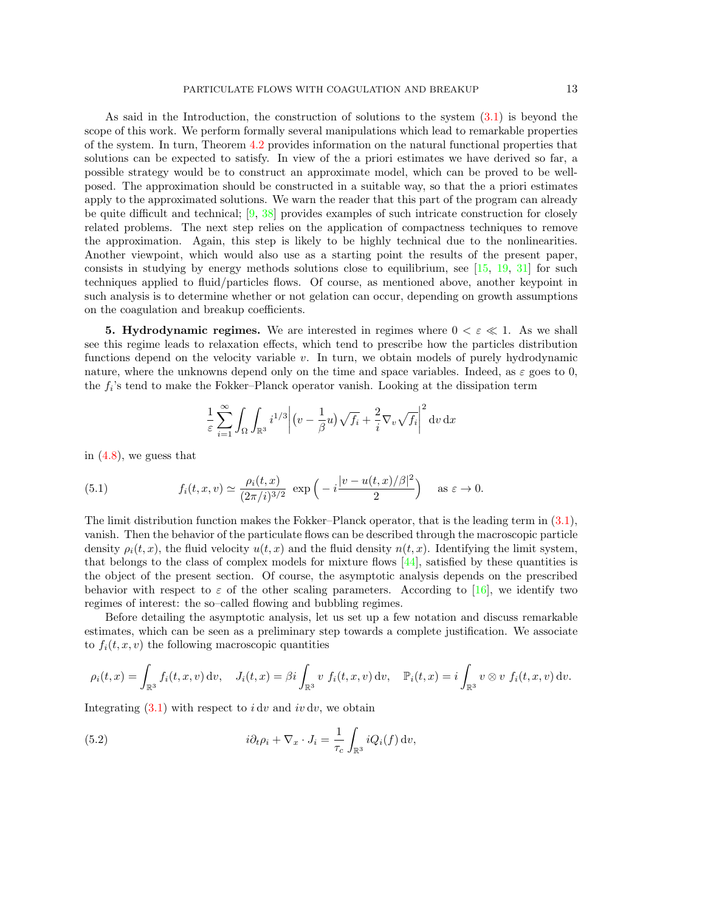As said in the Introduction, the construction of solutions to the system [\(3.1\)](#page-5-1) is beyond the scope of this work. We perform formally several manipulations which lead to remarkable properties of the system. In turn, Theorem [4.2](#page-9-3) provides information on the natural functional properties that solutions can be expected to satisfy. In view of the a priori estimates we have derived so far, a possible strategy would be to construct an approximate model, which can be proved to be wellposed. The approximation should be constructed in a suitable way, so that the a priori estimates apply to the approximated solutions. We warn the reader that this part of the program can already be quite difficult and technical;  $[9, 38]$  $[9, 38]$  provides examples of such intricate construction for closely related problems. The next step relies on the application of compactness techniques to remove the approximation. Again, this step is likely to be highly technical due to the nonlinearities. Another viewpoint, which would also use as a starting point the results of the present paper, consists in studying by energy methods solutions close to equilibrium, see  $[15, 19, 31]$  $[15, 19, 31]$  $[15, 19, 31]$  $[15, 19, 31]$  for such techniques applied to fluid/particles flows. Of course, as mentioned above, another keypoint in such analysis is to determine whether or not gelation can occur, depending on growth assumptions on the coagulation and breakup coefficients.

<span id="page-12-0"></span>**5. Hydrodynamic regimes.** We are interested in regimes where  $0 < \varepsilon \ll 1$ . As we shall see this regime leads to relaxation effects, which tend to prescribe how the particles distribution functions depend on the velocity variable  $v$ . In turn, we obtain models of purely hydrodynamic nature, where the unknowns depend only on the time and space variables. Indeed, as  $\varepsilon$  goes to 0, the  $f_i$ 's tend to make the Fokker–Planck operator vanish. Looking at the dissipation term

<span id="page-12-1"></span>
$$
\frac{1}{\varepsilon} \sum_{i=1}^{\infty} \int_{\Omega} \int_{\mathbb{R}^3} i^{1/3} \left| (v - \frac{1}{\beta} u) \sqrt{f_i} + \frac{2}{i} \nabla_v \sqrt{f_i} \right|^2 dv dx
$$

in [\(4.8\)](#page-9-4), we guess that

(5.1) 
$$
f_i(t, x, v) \simeq \frac{\rho_i(t, x)}{(2\pi/i)^{3/2}} \exp\left(-i\frac{|v - u(t, x)/\beta|^2}{2}\right) \text{ as } \varepsilon \to 0.
$$

The limit distribution function makes the Fokker–Planck operator, that is the leading term in [\(3.1\)](#page-5-1), vanish. Then the behavior of the particulate flows can be described through the macroscopic particle density  $\rho_i(t, x)$ , the fluid velocity  $u(t, x)$  and the fluid density  $n(t, x)$ . Identifying the limit system, that belongs to the class of complex models for mixture flows [\[44\]](#page-19-4), satisfied by these quantities is the object of the present section. Of course, the asymptotic analysis depends on the prescribed behavior with respect to  $\varepsilon$  of the other scaling parameters. According to [\[16\]](#page-18-10), we identify two regimes of interest: the so–called flowing and bubbling regimes.

Before detailing the asymptotic analysis, let us set up a few notation and discuss remarkable estimates, which can be seen as a preliminary step towards a complete justification. We associate to  $f_i(t, x, v)$  the following macroscopic quantities

$$
\rho_i(t,x) = \int_{\mathbb{R}^3} f_i(t,x,v) \, \mathrm{d}v, \quad J_i(t,x) = \beta i \int_{\mathbb{R}^3} v \, f_i(t,x,v) \, \mathrm{d}v, \quad \mathbb{P}_i(t,x) = i \int_{\mathbb{R}^3} v \otimes v \, f_i(t,x,v) \, \mathrm{d}v.
$$

Integrating  $(3.1)$  with respect to *i* dv and *iv* dv, we obtain

<span id="page-12-2"></span>(5.2) 
$$
i\partial_t \rho_i + \nabla_x \cdot J_i = \frac{1}{\tau_c} \int_{\mathbb{R}^3} i Q_i(f) \, \mathrm{d}v,
$$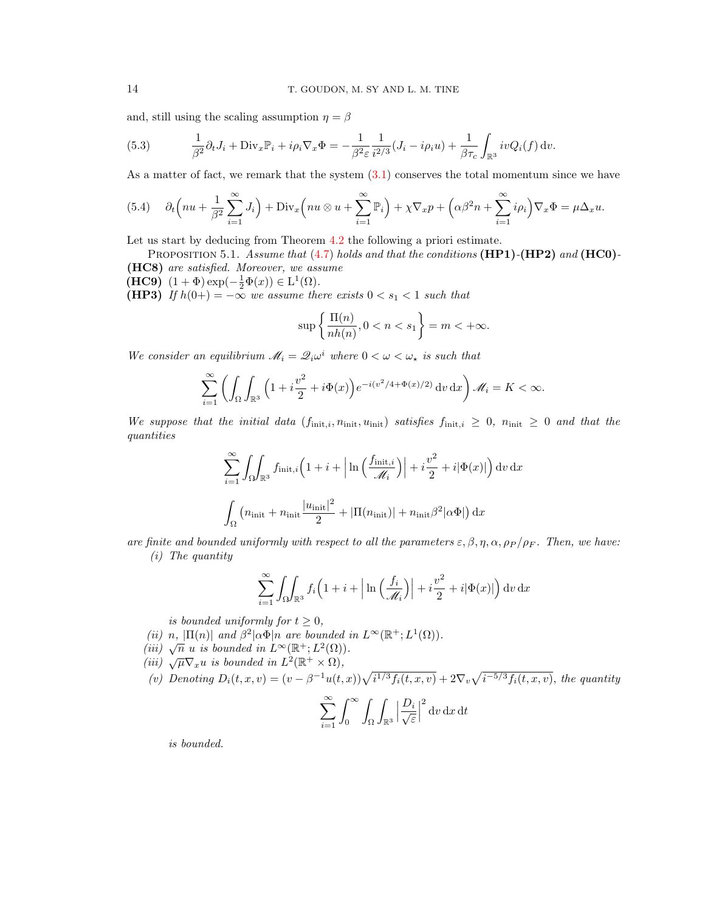and, still using the scaling assumption  $\eta = \beta$ 

<span id="page-13-2"></span>(5.3) 
$$
\frac{1}{\beta^2} \partial_t J_i + \text{Div}_x \mathbb{P}_i + i \rho_i \nabla_x \Phi = -\frac{1}{\beta^2 \varepsilon} \frac{1}{i^{2/3}} (J_i - i \rho_i u) + \frac{1}{\beta \tau_c} \int_{\mathbb{R}^3} i v Q_i(f) dv.
$$

As a matter of fact, we remark that the system  $(3.1)$  conserves the total momentum since we have

<span id="page-13-1"></span>(5.4) 
$$
\partial_t \left( nu + \frac{1}{\beta^2} \sum_{i=1}^{\infty} J_i \right) + \text{Div}_x \left( nu \otimes u + \sum_{i=1}^{\infty} \mathbb{P}_i \right) + \chi \nabla_x p + \left( \alpha \beta^2 n + \sum_{i=1}^{\infty} i \rho_i \right) \nabla_x \Phi = \mu \Delta_x u.
$$

Let us start by deducing from Theorem [4.2](#page-9-3) the following a priori estimate.

<span id="page-13-0"></span>PROPOSITION 5.1. Assume that  $(4.7)$  holds and that the conditions  $(HP1)-(HP2)$  and  $(HCO)$ -(HC8) are satisfied. Moreover, we assume

(HC9)  $(1 + \Phi) \exp(-\frac{1}{2}\Phi(x)) \in L^1(\Omega)$ .

(HP3) If  $h(0+) = -\infty$  we assume there exists  $0 < s_1 < 1$  such that

$$
\sup \left\{ \frac{\Pi(n)}{nh(n)}, 0 < n < s_1 \right\} = m < +\infty.
$$

We consider an equilibrium  $\mathcal{M}_i = \mathcal{Q}_i \omega^i$  where  $0 < \omega < \omega_*$  is such that

$$
\sum_{i=1}^{\infty} \left( \int_{\Omega} \int_{\mathbb{R}^3} \left( 1 + i \frac{v^2}{2} + i \Phi(x) \right) e^{-i(v^2/4 + \Phi(x)/2)} \, \mathrm{d}v \, \mathrm{d}x \right) \mathscr{M}_i = K < \infty.
$$

We suppose that the initial data (finit,i,  $n_{\text{init}}$ ,  $u_{\text{init}}$ ) satisfies finit, $i \geq 0$ ,  $n_{\text{init}} \geq 0$  and that the quantities

$$
\sum_{i=1}^{\infty} \int_{\Omega} \int_{\mathbb{R}^3} f_{\text{init},i} \left( 1 + i + \left| \ln \left( \frac{f_{\text{init},i}}{\mathcal{M}_i} \right) \right| + i \frac{v^2}{2} + i |\Phi(x)| \right) dv dx
$$

$$
\int_{\Omega} \left( n_{\text{init}} + n_{\text{init}} \frac{|u_{\text{init}}|^2}{2} + |\Pi(n_{\text{init}})| + n_{\text{init}} \beta^2 |\alpha \Phi| \right) dx
$$

are finite and bounded uniformly with respect to all the parameters  $\varepsilon, \beta, \eta, \alpha, \rho_P / \rho_F$ . Then, we have: (i) The quantity

$$
\sum_{i=1}^{\infty} \int_{\Omega} \int_{\mathbb{R}^3} f_i \left( 1 + i + \left| \ln \left( \frac{f_i}{\mathcal{M}_i} \right) \right| + i \frac{v^2}{2} + i |\Phi(x)| \right) dv \, dx
$$

is bounded uniformly for  $t \geq 0$ ,

- (ii) n,  $|\Pi(n)|$  and  $\beta^2|\alpha\Phi|n$  are bounded in  $L^{\infty}(\mathbb{R}^+; L^1(\Omega)).$
- (ii)  $\sqrt{n}$  u is bounded in  $L^{\infty}(\mathbb{R}^+; L^2(\Omega))$ .
- (*iii*)  $\sqrt{\mu} \nabla_x u$  is bounded in  $L^2(\mathbb{R}^+ \times \Omega)$ ,

(v) Denoting 
$$
D_i(t, x, v) = (v - \beta^{-1}u(t, x))\sqrt{i^{1/3}f_i(t, x, v)} + 2\nabla_v\sqrt{i^{-5/3}f_i(t, x, v)}
$$
, the quantity

$$
\sum_{i=1}^{\infty} \int_0^{\infty} \int_{\Omega} \int_{\mathbb{R}^3} \left| \frac{D_i}{\sqrt{\varepsilon}} \right|^2 \mathrm{d}v \, \mathrm{d}x \, \mathrm{d}t
$$

is bounded.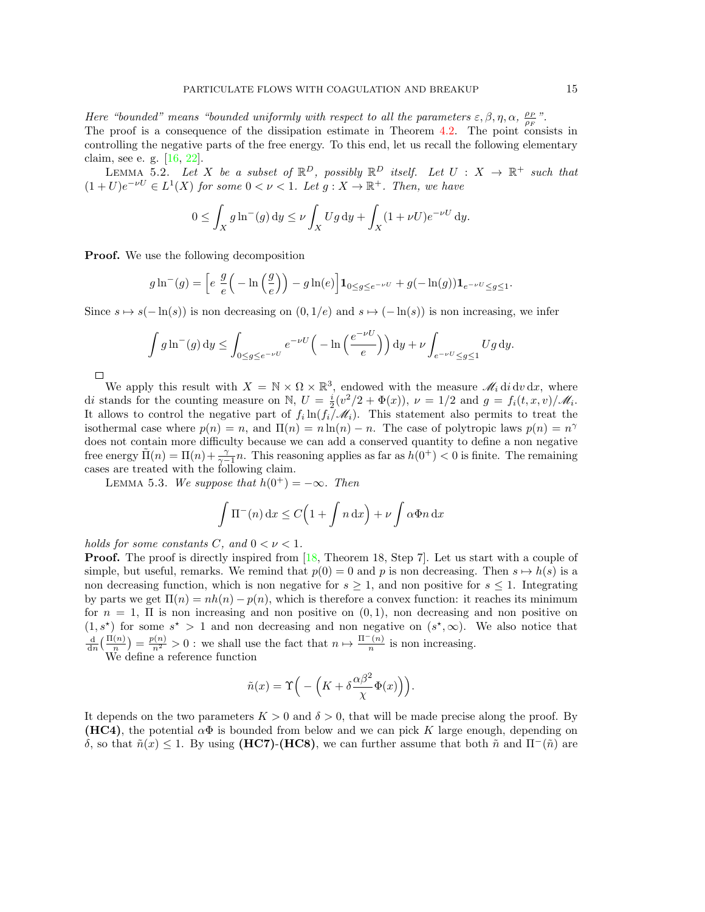Here "bounded" means "bounded uniformly with respect to all the parameters  $\varepsilon, \beta, \eta, \alpha, \frac{\rho_P}{\rho_F}$ ". The proof is a consequence of the dissipation estimate in Theorem [4.2.](#page-9-3) The point consists in controlling the negative parts of the free energy. To this end, let us recall the following elementary claim, see e. g. [\[16,](#page-18-10) [22\]](#page-18-24).

LEMMA 5.2. Let X be a subset of  $\mathbb{R}^D$ , possibly  $\mathbb{R}^D$  itself. Let  $U : X \to \mathbb{R}^+$  such that  $(1+U)e^{-\nu U} \in L^1(X)$  for some  $0 < \nu < 1$ . Let  $g: X \to \mathbb{R}^+$ . Then, we have

$$
0 \le \int_X g \ln^{-}(g) dy \le \nu \int_X Ug dy + \int_X (1 + \nu U)e^{-\nu U} dy.
$$

Proof. We use the following decomposition

$$
g \ln^{-}(g) = \left[ e \frac{g}{e} \left( -\ln\left(\frac{g}{e}\right) \right) - g \ln(e) \right] \mathbf{1}_{0 \le g \le e^{-\nu U}} + g(-\ln(g)) \mathbf{1}_{e^{-\nu U} \le g \le 1}.
$$

Since  $s \mapsto s(-\ln(s))$  is non decreasing on  $(0, 1/e)$  and  $s \mapsto (-\ln(s))$  is non increasing, we infer

$$
\int g \ln^{-}(g) dy \le \int_{0 \le g \le e^{-\nu U}} e^{-\nu U} \left( -\ln\left(\frac{e^{-\nu U}}{e}\right) \right) dy + \nu \int_{e^{-\nu U} \le g \le 1} U g dy.
$$

 $\Box$ 

We apply this result with  $X = \mathbb{N} \times \Omega \times \mathbb{R}^3$ , endowed with the measure  $\mathscr{M}_i \text{d}i \text{d}v \text{d}x$ , where di stands for the counting measure on N,  $U = \frac{i}{2}(v^2/2 + \Phi(x))$ ,  $\nu = 1/2$  and  $g = f_i(t, x, v)/\mathcal{M}_i$ . It allows to control the negative part of  $f_i \ln(f_i/\mathcal{M}_i)$ . This statement also permits to treat the isothermal case where  $p(n) = n$ , and  $\Pi(n) = n \ln(n) - n$ . The case of polytropic laws  $p(n) = n^{\gamma}$ does not contain more difficulty because we can add a conserved quantity to define a non negative free energy  $\tilde{\Pi}(n) = \Pi(n) + \frac{\gamma}{\gamma-1}n$ . This reasoning applies as far as  $h(0^+) < 0$  is finite. The remaining cases are treated with the following claim.

LEMMA 5.3. We suppose that  $h(0^+) = -\infty$ . Then

$$
\int \Pi^-(n) \, dx \le C\Big(1 + \int n \, dx\Big) + \nu \int \alpha \Phi n \, dx
$$

holds for some constants C, and  $0 < \nu < 1$ .

**Proof.** The proof is directly inspired from [\[18,](#page-18-22) Theorem 18, Step 7]. Let us start with a couple of simple, but useful, remarks. We remind that  $p(0) = 0$  and p is non decreasing. Then  $s \mapsto h(s)$  is a non decreasing function, which is non negative for  $s \geq 1$ , and non positive for  $s \leq 1$ . Integrating by parts we get  $\Pi(n) = nh(n) - p(n)$ , which is therefore a convex function: it reaches its minimum for  $n = 1$ ,  $\Pi$  is non increasing and non positive on  $(0, 1)$ , non decreasing and non positive on  $(1, s^*)$  for some  $s^* > 1$  and non decreasing and non negative on  $(s^*, \infty)$ . We also notice that  $\frac{d}{dn}(\frac{\Pi(n)}{n}) = \frac{p(n)}{n^2} > 0$ : we shall use the fact that  $n \mapsto \frac{\Pi^-(n)}{n}$  $\frac{n!}{n}$  is non increasing.

We define a reference function

$$
\tilde{n}(x) = \Upsilon\Big( -\Big(K + \delta \frac{\alpha \beta^2}{\chi} \Phi(x)\Big)\Big).
$$

It depends on the two parameters  $K > 0$  and  $\delta > 0$ , that will be made precise along the proof. By (HC4), the potential  $\alpha\Phi$  is bounded from below and we can pick K large enough, depending on δ, so that  $ñ(x)$  ≤ 1. By using (HC7)-(HC8), we can further assume that both  $ñ$  and  $\Pi$ <sup>-</sup> $(ñ)$  are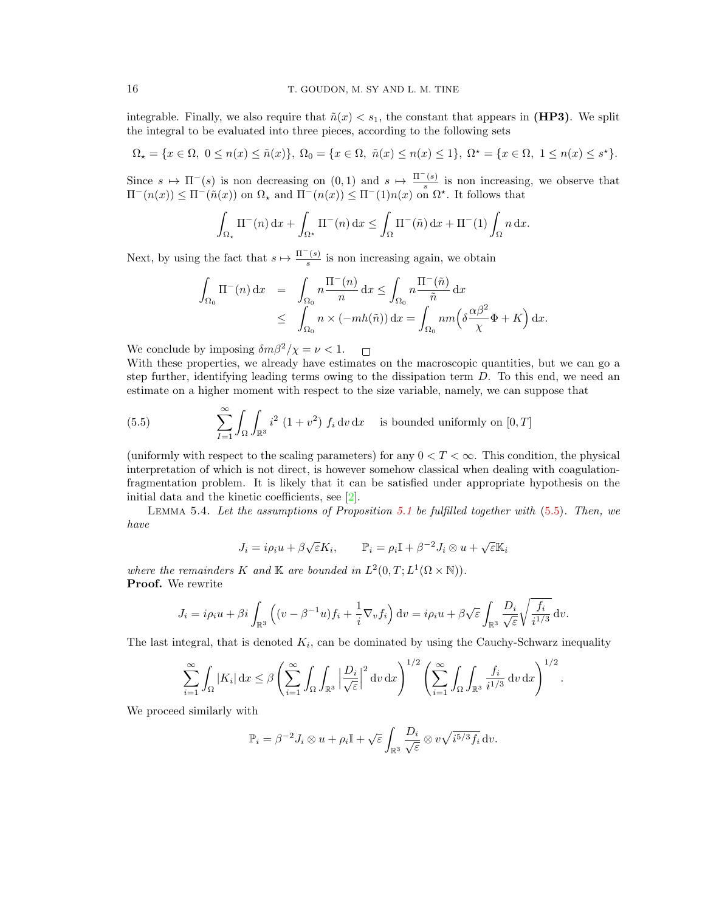integrable. Finally, we also require that  $\tilde{n}(x) < s_1$ , the constant that appears in (HP3). We split the integral to be evaluated into three pieces, according to the following sets

$$
\Omega_{\star} = \{ x \in \Omega, \ 0 \le n(x) \le \tilde{n}(x) \}, \ \Omega_{0} = \{ x \in \Omega, \ \tilde{n}(x) \le n(x) \le 1 \}, \ \Omega^{\star} = \{ x \in \Omega, \ 1 \le n(x) \le s^{\star} \}.
$$

Since  $s \mapsto \Pi^{-}(s)$  is non decreasing on  $(0, 1)$  and  $s \mapsto \frac{\Pi^{-}(s)}{s}$  $\frac{s}{s}$  is non increasing, we observe that  $\Pi^-(n(x)) \leq \Pi^-(\tilde{n}(x))$  on  $\Omega_\star$  and  $\Pi^-(n(x)) \leq \Pi^-(1)n(x)$  on  $\Omega^\star$ . It follows that

$$
\int_{\Omega_{\star}} \Pi^{-}(n) dx + \int_{\Omega^{\star}} \Pi^{-}(n) dx \le \int_{\Omega} \Pi^{-}(\tilde{n}) dx + \Pi^{-}(1) \int_{\Omega} n dx.
$$

Next, by using the fact that  $s \mapsto \frac{\Pi^-(s)}{s}$  $\frac{s}{s}$  is non increasing again, we obtain

$$
\int_{\Omega_0} \Pi^-(n) dx = \int_{\Omega_0} n \frac{\Pi^-(n)}{n} dx \le \int_{\Omega_0} n \frac{\Pi^-(\tilde{n})}{\tilde{n}} dx
$$
  

$$
\le \int_{\Omega_0} n \times (-mh(\tilde{n})) dx = \int_{\Omega_0} nm \left( \delta \frac{\alpha \beta^2}{\chi} \Phi + K \right) dx.
$$

We conclude by imposing  $\delta m \beta^2 / \chi = \nu < 1.$ 

With these properties, we already have estimates on the macroscopic quantities, but we can go a step further, identifying leading terms owing to the dissipation term D. To this end, we need an estimate on a higher moment with respect to the size variable, namely, we can suppose that

<span id="page-15-0"></span>(5.5) 
$$
\sum_{I=1}^{\infty} \int_{\Omega} \int_{\mathbb{R}^3} i^2 (1+v^2) f_i dv dx
$$
 is bounded uniformly on [0, T]

(uniformly with respect to the scaling parameters) for any  $0 < T < \infty$ . This condition, the physical interpretation of which is not direct, is however somehow classical when dealing with coagulationfragmentation problem. It is likely that it can be satisfied under appropriate hypothesis on the initial data and the kinetic coefficients, see [\[2\]](#page-18-16).

<span id="page-15-1"></span>Lemma 5.4. Let the assumptions of Proposition [5.1](#page-13-0) be fulfilled together with [\(5.5\)](#page-15-0). Then, we have

$$
J_i = i\rho_i u + \beta \sqrt{\varepsilon} K_i, \qquad \mathbb{P}_i = \rho_i \mathbb{I} + \beta^{-2} J_i \otimes u + \sqrt{\varepsilon} \mathbb{K}_i
$$

where the remainders K and K are bounded in  $L^2(0,T;L^1(\Omega \times \mathbb{N}))$ . Proof. We rewrite

$$
J_i = i\rho_i u + \beta i \int_{\mathbb{R}^3} \left( (v - \beta^{-1}u) f_i + \frac{1}{i} \nabla_v f_i \right) dv = i\rho_i u + \beta \sqrt{\varepsilon} \int_{\mathbb{R}^3} \frac{D_i}{\sqrt{\varepsilon}} \sqrt{\frac{f_i}{i^{1/3}}} dv.
$$

The last integral, that is denoted  $K_i$ , can be dominated by using the Cauchy-Schwarz inequality

$$
\sum_{i=1}^{\infty} \int_{\Omega} |K_i| \, \mathrm{d}x \leq \beta \left( \sum_{i=1}^{\infty} \int_{\Omega} \int_{\mathbb{R}^3} \left| \frac{D_i}{\sqrt{\varepsilon}} \right|^2 \mathrm{d}v \, \mathrm{d}x \right)^{1/2} \left( \sum_{i=1}^{\infty} \int_{\Omega} \int_{\mathbb{R}^3} \frac{f_i}{i^{1/3}} \mathrm{d}v \, \mathrm{d}x \right)^{1/2}.
$$

We proceed similarly with

$$
\mathbb{P}_i = \beta^{-2} J_i \otimes u + \rho_i \mathbb{I} + \sqrt{\varepsilon} \int_{\mathbb{R}^3} \frac{D_i}{\sqrt{\varepsilon}} \otimes v \sqrt{i^{5/3} f_i} \, \mathrm{d}v.
$$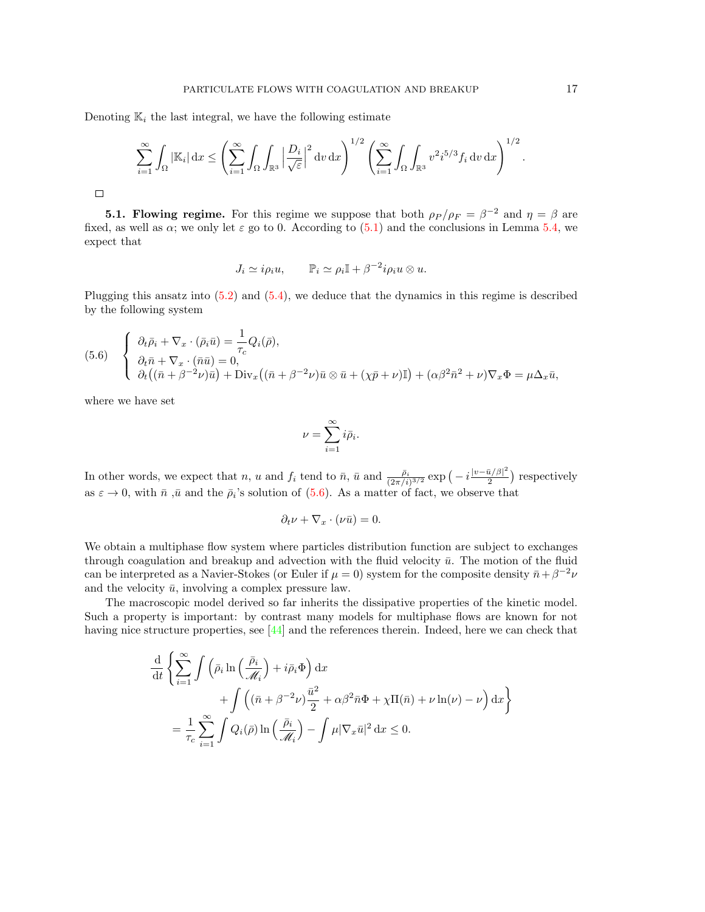Denoting  $\mathbb{K}_i$  the last integral, we have the following estimate

$$
\sum_{i=1}^{\infty} \int_{\Omega} |\mathbb{K}_i| \, \mathrm{d}x \leq \left( \sum_{i=1}^{\infty} \int_{\Omega} \int_{\mathbb{R}^3} \left| \frac{D_i}{\sqrt{\varepsilon}} \right|^2 \mathrm{d}v \, \mathrm{d}x \right)^{1/2} \left( \sum_{i=1}^{\infty} \int_{\Omega} \int_{\mathbb{R}^3} v^2 i^{5/3} f_i \, \mathrm{d}v \, \mathrm{d}x \right)^{1/2}.
$$

**5.1. Flowing regime.** For this regime we suppose that both  $\rho_P / \rho_F = \beta^{-2}$  and  $\eta = \beta$  are fixed, as well as  $\alpha$ ; we only let  $\varepsilon$  go to 0. According to [\(5.1\)](#page-12-1) and the conclusions in Lemma [5.4,](#page-15-1) we expect that

$$
J_i \simeq i\rho_i u, \qquad \mathbb{P}_i \simeq \rho_i \mathbb{I} + \beta^{-2} i\rho_i u \otimes u.
$$

Plugging this ansatz into [\(5.2\)](#page-12-2) and [\(5.4\)](#page-13-1), we deduce that the dynamics in this regime is described by the following system

<span id="page-16-0"></span>(5.6) 
$$
\begin{cases} \n\partial_t \bar{\rho}_i + \nabla_x \cdot (\bar{\rho}_i \bar{u}) = \frac{1}{\tau_c} Q_i(\bar{\rho}), \\
\partial_t \bar{n} + \nabla_x \cdot (\bar{n} \bar{u}) = 0, \\
\partial_t ((\bar{n} + \beta^{-2} \nu) \bar{u}) + \text{Div}_x ((\bar{n} + \beta^{-2} \nu) \bar{u} \otimes \bar{u} + (\chi \bar{p} + \nu) \mathbb{I}) + (\alpha \beta^2 \bar{n}^2 + \nu) \nabla_x \Phi = \mu \Delta_x \bar{u},\n\end{cases}
$$

where we have set

$$
\nu=\sum_{i=1}^\infty i\bar{\rho}_i.
$$

In other words, we expect that n, u and  $f_i$  tend to  $\bar{n}$ ,  $\bar{u}$  and  $\frac{\bar{\rho}_i}{(2\pi/i)^{3/2}} \exp\left(-i\frac{|v-\bar{u}/\beta|^2}{2}\right)$  $\frac{\bar{u}/\beta|^2}{2}$  respectively as  $\varepsilon \to 0$ , with  $\bar{n}$ ,  $\bar{u}$  and the  $\bar{\rho}_i$ 's solution of [\(5.6\)](#page-16-0). As a matter of fact, we observe that

$$
\partial_t \nu + \nabla_x \cdot (\nu \bar{u}) = 0.
$$

We obtain a multiphase flow system where particles distribution function are subject to exchanges through coagulation and breakup and advection with the fluid velocity  $\bar{u}$ . The motion of the fluid can be interpreted as a Navier-Stokes (or Euler if  $\mu = 0$ ) system for the composite density  $\bar{n} + \beta^{-2}\nu$ and the velocity  $\bar{u}$ , involving a complex pressure law.

The macroscopic model derived so far inherits the dissipative properties of the kinetic model. Such a property is important: by contrast many models for multiphase flows are known for not having nice structure properties, see [\[44\]](#page-19-4) and the references therein. Indeed, here we can check that

$$
\frac{\mathrm{d}}{\mathrm{d}t} \left\{ \sum_{i=1}^{\infty} \int \left( \bar{\rho}_i \ln \left( \frac{\bar{\rho}_i}{\mathcal{M}_i} \right) + i \bar{\rho}_i \Phi \right) \mathrm{d}x + \int \left( (\bar{n} + \beta^{-2} \nu) \frac{\bar{u}^2}{2} + \alpha \beta^2 \bar{n} \Phi + \chi \Pi(\bar{n}) + \nu \ln(\nu) - \nu \right) \mathrm{d}x \right\}
$$

$$
= \frac{1}{\tau_c} \sum_{i=1}^{\infty} \int Q_i(\bar{\rho}) \ln \left( \frac{\bar{\rho}_i}{\mathcal{M}_i} \right) - \int \mu |\nabla_x \bar{u}|^2 \mathrm{d}x \le 0.
$$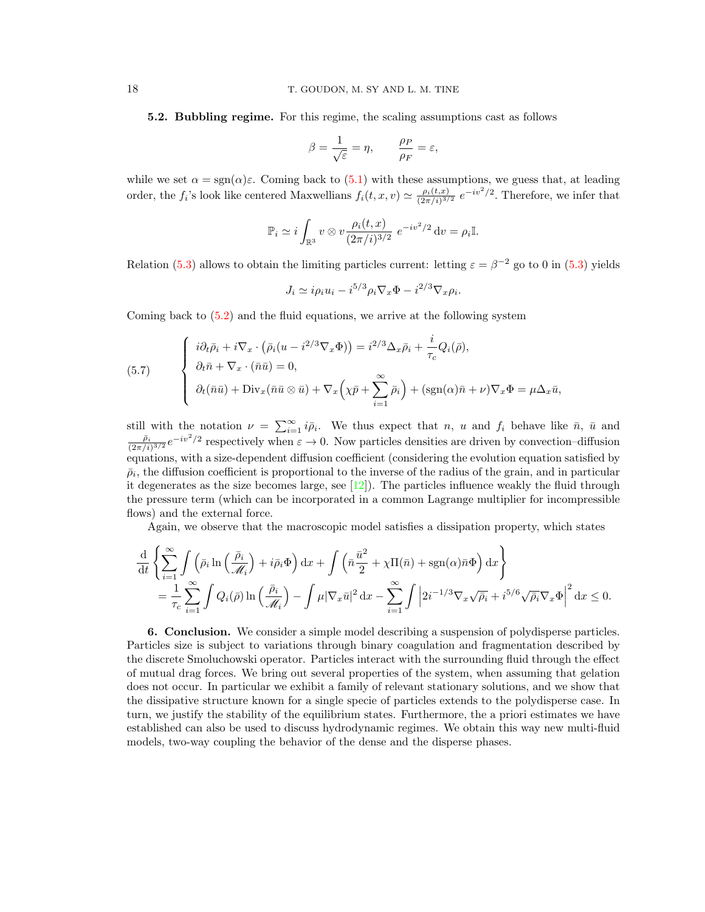5.2. Bubbling regime. For this regime, the scaling assumptions cast as follows

$$
\beta = \frac{1}{\sqrt{\varepsilon}} = \eta, \qquad \frac{\rho_P}{\rho_F} = \varepsilon,
$$

while we set  $\alpha = \text{sgn}(\alpha)\varepsilon$ . Coming back to [\(5.1\)](#page-12-1) with these assumptions, we guess that, at leading order, the  $f_i$ 's look like centered Maxwellians  $f_i(t, x, v) \simeq \frac{\rho_i(t, x)}{(2\pi/i)^{3/2}}$  $\frac{\rho_i(t,x)}{(2\pi/i)^{3/2}} e^{-iv^2/2}$ . Therefore, we infer that

$$
\mathbb{P}_i \simeq i \int_{\mathbb{R}^3} v \otimes v \frac{\rho_i(t, x)}{(2\pi/i)^{3/2}} e^{-iv^2/2} dv = \rho_i \mathbb{I}.
$$

Relation [\(5.3\)](#page-13-2) allows to obtain the limiting particles current: letting  $\varepsilon = \beta^{-2}$  go to 0 in (5.3) yields

$$
J_i \simeq i\rho_i u_i - i^{5/3} \rho_i \nabla_x \Phi - i^{2/3} \nabla_x \rho_i.
$$

Coming back to  $(5.2)$  and the fluid equations, we arrive at the following system

(5.7) 
$$
\begin{cases} i\partial_t \bar{\rho}_i + i\nabla_x \cdot (\bar{\rho}_i (u - i^{2/3} \nabla_x \Phi)) = i^{2/3} \Delta_x \bar{\rho}_i + \frac{i}{\tau_c} Q_i(\bar{\rho}), \\ \partial_t \bar{n} + \nabla_x \cdot (\bar{n}\bar{u}) = 0, \\ \partial_t (\bar{n}\bar{u}) + \text{Div}_x (\bar{n}\bar{u} \otimes \bar{u}) + \nabla_x \left( \chi \bar{p} + \sum_{i=1}^{\infty} \bar{\rho}_i \right) + (\text{sgn}(\alpha)\bar{n} + \nu) \nabla_x \Phi = \mu \Delta_x \bar{u}, \end{cases}
$$

still with the notation  $\nu = \sum_{i=1}^{\infty} i \bar{\rho}_i$ . We thus expect that n, u and  $f_i$  behave like  $\bar{n}$ ,  $\bar{u}$  and  $\frac{\bar{\rho}_i}{(2\pi/i)^{3/2}}e^{-iv^2/2}$  respectively when  $\varepsilon \to 0$ . Now particles densities are driven by convection–diffusion equations, with a size-dependent diffusion coefficient (considering the evolution equation satisfied by  $\bar{\rho}_i$ , the diffusion coefficient is proportional to the inverse of the radius of the grain, and in particular it degenerates as the size becomes large, see  $[12]$ . The particles influence weakly the fluid through the pressure term (which can be incorporated in a common Lagrange multiplier for incompressible flows) and the external force.

Again, we observe that the macroscopic model satisfies a dissipation property, which states

$$
\frac{\mathrm{d}}{\mathrm{d}t} \left\{ \sum_{i=1}^{\infty} \int \left( \bar{\rho}_i \ln \left( \frac{\bar{\rho}_i}{\mathcal{M}_i} \right) + i \bar{\rho}_i \Phi \right) \mathrm{d}x + \int \left( \bar{n} \frac{\bar{u}^2}{2} + \chi \Pi(\bar{n}) + \mathrm{sgn}(\alpha) \bar{n} \Phi \right) \mathrm{d}x \right\} \n= \frac{1}{\tau_c} \sum_{i=1}^{\infty} \int Q_i(\bar{\rho}) \ln \left( \frac{\bar{\rho}_i}{\mathcal{M}_i} \right) - \int \mu |\nabla_x \bar{u}|^2 \mathrm{d}x - \sum_{i=1}^{\infty} \int \left| 2i^{-1/3} \nabla_x \sqrt{\bar{\rho}_i} + i^{5/6} \sqrt{\bar{\rho}_i} \nabla_x \Phi \right|^2 \mathrm{d}x \leq 0.
$$

6. Conclusion. We consider a simple model describing a suspension of polydisperse particles. Particles size is subject to variations through binary coagulation and fragmentation described by the discrete Smoluchowski operator. Particles interact with the surrounding fluid through the effect of mutual drag forces. We bring out several properties of the system, when assuming that gelation does not occur. In particular we exhibit a family of relevant stationary solutions, and we show that the dissipative structure known for a single specie of particles extends to the polydisperse case. In turn, we justify the stability of the equilibrium states. Furthermore, the a priori estimates we have established can also be used to discuss hydrodynamic regimes. We obtain this way new multi-fluid models, two-way coupling the behavior of the dense and the disperse phases.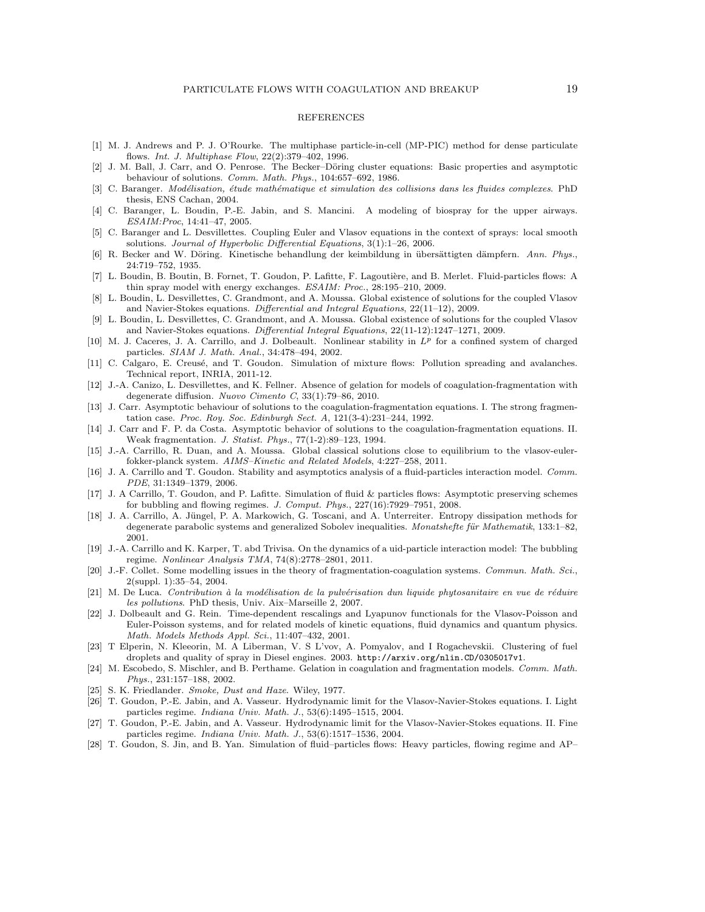## **REFERENCES**

- <span id="page-18-11"></span>[1] M. J. Andrews and P. J. O'Rourke. The multiphase particle-in-cell (MP-PIC) method for dense particulate flows. Int. J. Multiphase Flow, 22(2):379–402, 1996.
- <span id="page-18-16"></span>[2] J. M. Ball, J. Carr, and O. Penrose. The Becker–Döring cluster equations: Basic properties and asymptotic behaviour of solutions. Comm. Math. Phys., 104:657–692, 1986.
- <span id="page-18-5"></span>[3] C. Baranger. Modélisation, étude mathématique et simulation des collisions dans les fluides complexes. PhD thesis, ENS Cachan, 2004.
- <span id="page-18-2"></span>[4] C. Baranger, L. Boudin, P.-E. Jabin, and S. Mancini. A modeling of biospray for the upper airways. ESAIM:Proc, 14:41–47, 2005.
- <span id="page-18-6"></span>[5] C. Baranger and L. Desvillettes. Coupling Euler and Vlasov equations in the context of sprays: local smooth solutions. Journal of Hyperbolic Differential Equations, 3(1):1–26, 2006.
- <span id="page-18-14"></span>[6] R. Becker and W. Döring. Kinetische behandlung der keimbildung in übersättigten dämpfern. Ann. Phys., 24:719–752, 1935.
- <span id="page-18-19"></span>[7] L. Boudin, B. Boutin, B. Fornet, T. Goudon, P. Lafitte, F. Lagoutière, and B. Merlet. Fluid-particles flows: A thin spray model with energy exchanges. ESAIM: Proc., 28:195–210, 2009.
- <span id="page-18-7"></span>[8] L. Boudin, L. Desvillettes, C. Grandmont, and A. Moussa. Global existence of solutions for the coupled Vlasov and Navier-Stokes equations. Differential and Integral Equations, 22(11–12), 2009.
- <span id="page-18-25"></span>[9] L. Boudin, L. Desvillettes, C. Grandmont, and A. Moussa. Global existence of solutions for the coupled Vlasov and Navier-Stokes equations. Differential Integral Equations, 22(11-12):1247–1271, 2009.
- <span id="page-18-23"></span>[10] M. J. Caceres, J. A. Carrillo, and J. Dolbeault. Nonlinear stability in  $L^p$  for a confined system of charged particles. SIAM J. Math. Anal., 34:478–494, 2002.
- <span id="page-18-4"></span>[11] C. Calgaro, E. Creusé, and T. Goudon. Simulation of mixture flows: Pollution spreading and avalanches. Technical report, INRIA, 2011-12.
- <span id="page-18-18"></span>[12] J.-A. Canizo, L. Desvillettes, and K. Fellner. Absence of gelation for models of coagulation-fragmentation with degenerate diffusion. Nuovo Cimento C, 33(1):79–86, 2010.
- <span id="page-18-20"></span>[13] J. Carr. Asymptotic behaviour of solutions to the coagulation-fragmentation equations. I. The strong fragmentation case. Proc. Roy. Soc. Edinburgh Sect. A, 121(3-4):231–244, 1992.
- <span id="page-18-21"></span>[14] J. Carr and F. P. da Costa. Asymptotic behavior of solutions to the coagulation-fragmentation equations. II. Weak fragmentation. J. Statist. Phys., 77(1-2):89–123, 1994.
- <span id="page-18-26"></span>[15] J.-A. Carrillo, R. Duan, and A. Moussa. Global classical solutions close to equilibrium to the vlasov-eulerfokker-planck system. AIMS–Kinetic and Related Models, 4:227–258, 2011.
- <span id="page-18-10"></span>[16] J. A. Carrillo and T. Goudon. Stability and asymptotics analysis of a fluid-particles interaction model. Comm. PDE, 31:1349–1379, 2006.
- <span id="page-18-12"></span>[17] J. A Carrillo, T. Goudon, and P. Lafitte. Simulation of fluid & particles flows: Asymptotic preserving schemes for bubbling and flowing regimes. J. Comput. Phys., 227(16):7929–7951, 2008.
- <span id="page-18-22"></span>[18] J. A. Carrillo, A. Jüngel, P. A. Markowich, G. Toscani, and A. Unterreiter. Entropy dissipation methods for degenerate parabolic systems and generalized Sobolev inequalities. Monatshefte für Mathematik, 133:1–82, 2001.
- <span id="page-18-27"></span>[19] J.-A. Carrillo and K. Karper, T. abd Trivisa. On the dynamics of a uid-particle interaction model: The bubbling regime. Nonlinear Analysis TMA, 74(8):2778–2801, 2011.
- <span id="page-18-15"></span>[20] J.-F. Collet. Some modelling issues in the theory of fragmentation-coagulation systems. Commun. Math. Sci., 2(suppl. 1):35–54, 2004.
- <span id="page-18-1"></span> $[21]$  M. De Luca. Contribution à la modélisation de la pulvérisation dun liquide phytosanitaire en vue de réduire les pollutions. PhD thesis, Univ. Aix–Marseille 2, 2007.
- <span id="page-18-24"></span>[22] J. Dolbeault and G. Rein. Time-dependent rescalings and Lyapunov functionals for the Vlasov-Poisson and Euler-Poisson systems, and for related models of kinetic equations, fluid dynamics and quantum physics. Math. Models Methods Appl. Sci., 11:407–432, 2001.
- <span id="page-18-3"></span>[23] T Elperin, N. Kleeorin, M. A Liberman, V. S L'vov, A. Pomyalov, and I Rogachevskii. Clustering of fuel droplets and quality of spray in Diesel engines. 2003. http://arxiv.org/nlin.CD/0305017v1.
- <span id="page-18-17"></span>[24] M. Escobedo, S. Mischler, and B. Perthame. Gelation in coagulation and fragmentation models. Comm. Math. Phys., 231:157–188, 2002.
- <span id="page-18-0"></span>[25] S. K. Friedlander. Smoke, Dust and Haze. Wiley, 1977.
- <span id="page-18-8"></span>[26] T. Goudon, P.-E. Jabin, and A. Vasseur. Hydrodynamic limit for the Vlasov-Navier-Stokes equations. I. Light particles regime. Indiana Univ. Math. J., 53(6):1495–1515, 2004.
- <span id="page-18-9"></span>[27] T. Goudon, P.-E. Jabin, and A. Vasseur. Hydrodynamic limit for the Vlasov-Navier-Stokes equations. II. Fine particles regime. Indiana Univ. Math. J., 53(6):1517–1536, 2004.
- <span id="page-18-13"></span>[28] T. Goudon, S. Jin, and B. Yan. Simulation of fluid–particles flows: Heavy particles, flowing regime and AP–